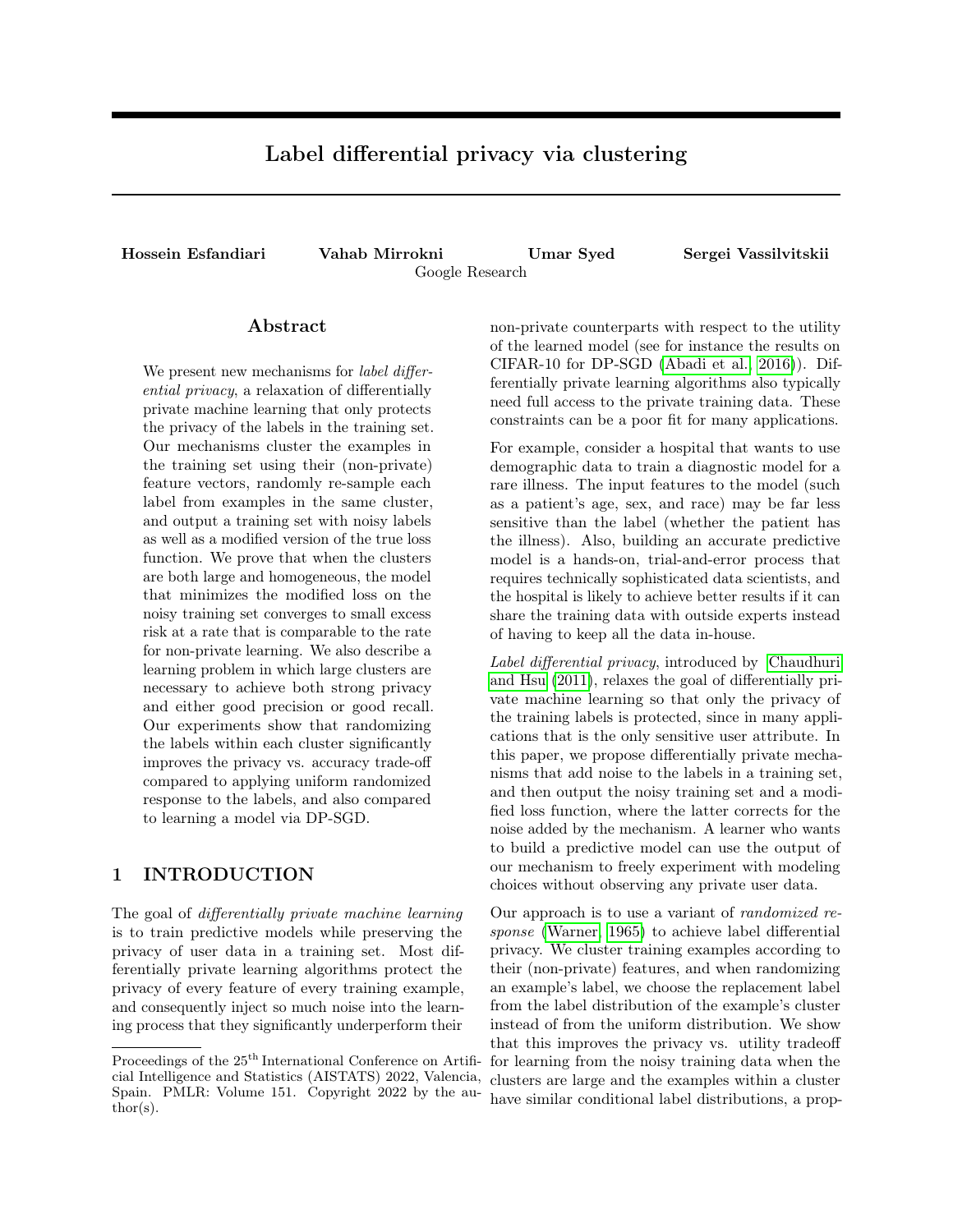# Label differential privacy via clustering

Hossein Esfandiari Vahab Mirrokni Umar Syed Sergei Vassilvitskii Google Research

### Abstract

We present new mechanisms for *label differ*ential privacy, a relaxation of differentially private machine learning that only protects the privacy of the labels in the training set. Our mechanisms cluster the examples in the training set using their (non-private) feature vectors, randomly re-sample each label from examples in the same cluster, and output a training set with noisy labels as well as a modified version of the true loss function. We prove that when the clusters are both large and homogeneous, the model that minimizes the modified loss on the noisy training set converges to small excess risk at a rate that is comparable to the rate for non-private learning. We also describe a learning problem in which large clusters are necessary to achieve both strong privacy and either good precision or good recall. Our experiments show that randomizing the labels within each cluster significantly improves the privacy vs. accuracy trade-off compared to applying uniform randomized response to the labels, and also compared to learning a model via DP-SGD.

# 1 INTRODUCTION

The goal of differentially private machine learning is to train predictive models while preserving the privacy of user data in a training set. Most differentially private learning algorithms protect the privacy of every feature of every training example, and consequently inject so much noise into the learning process that they significantly underperform their non-private counterparts with respect to the utility of the learned model (see for instance the results on CIFAR-10 for DP-SGD [\(Abadi et al., 2016\)](#page-8-0)). Differentially private learning algorithms also typically need full access to the private training data. These constraints can be a poor fit for many applications.

For example, consider a hospital that wants to use demographic data to train a diagnostic model for a rare illness. The input features to the model (such as a patient's age, sex, and race) may be far less sensitive than the label (whether the patient has the illness). Also, building an accurate predictive model is a hands-on, trial-and-error process that requires technically sophisticated data scientists, and the hospital is likely to achieve better results if it can share the training data with outside experts instead of having to keep all the data in-house.

Label differential privacy, introduced by [Chaudhuri](#page-9-0) [and Hsu](#page-9-0) [\(2011\)](#page-9-0), relaxes the goal of differentially private machine learning so that only the privacy of the training labels is protected, since in many applications that is the only sensitive user attribute. In this paper, we propose differentially private mechanisms that add noise to the labels in a training set, and then output the noisy training set and a modified loss function, where the latter corrects for the noise added by the mechanism. A learner who wants to build a predictive model can use the output of our mechanism to freely experiment with modeling choices without observing any private user data.

Our approach is to use a variant of randomized response [\(Warner, 1965\)](#page-9-1) to achieve label differential privacy. We cluster training examples according to their (non-private) features, and when randomizing an example's label, we choose the replacement label from the label distribution of the example's cluster instead of from the uniform distribution. We show that this improves the privacy vs. utility tradeoff for learning from the noisy training data when the clusters are large and the examples within a cluster have similar conditional label distributions, a prop-

Proceedings of the  $25^{\text{th}}$  International Conference on Artificial Intelligence and Statistics (AISTATS) 2022, Valencia, Spain. PMLR: Volume 151. Copyright 2022 by the author(s).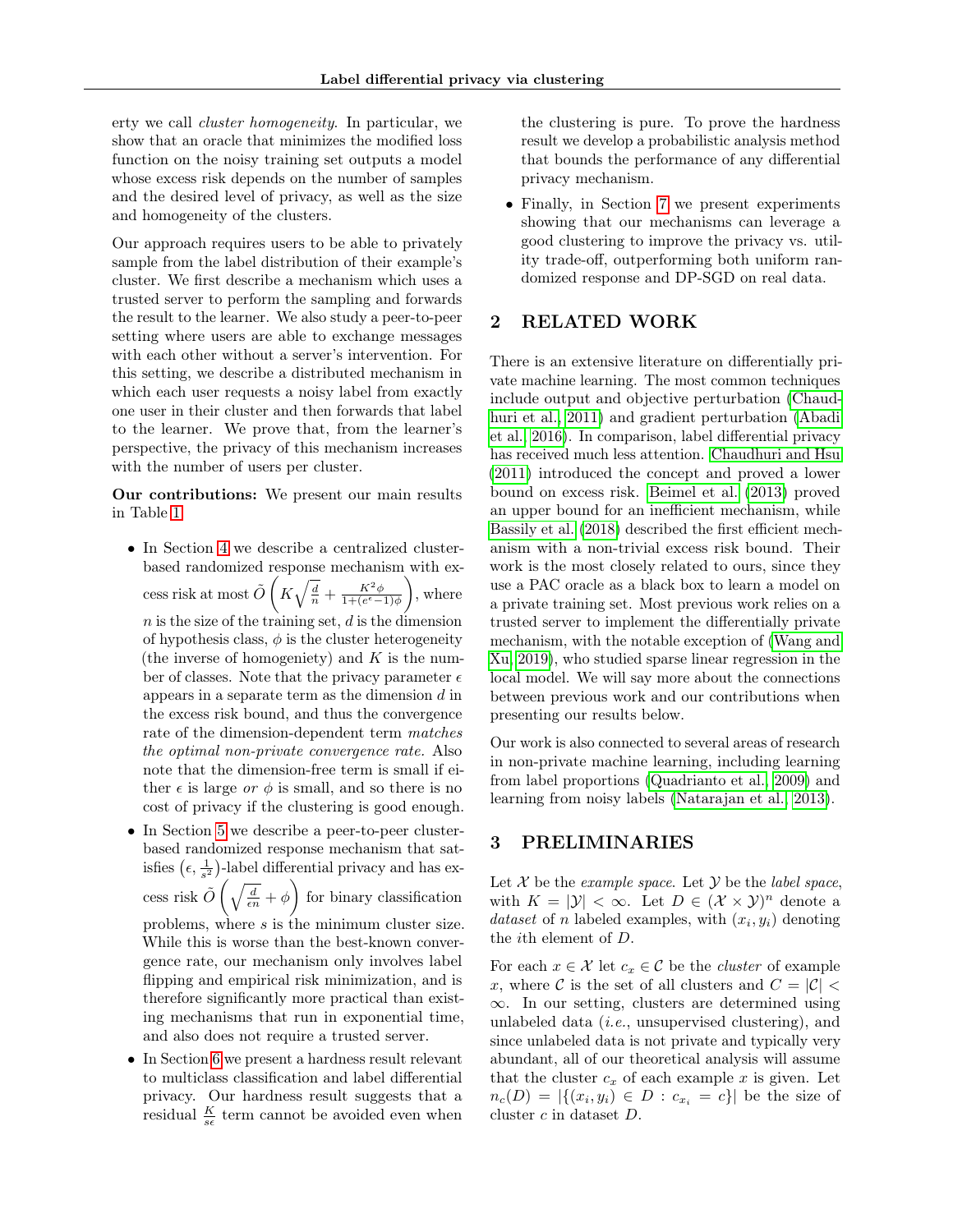erty we call cluster homogeneity. In particular, we show that an oracle that minimizes the modified loss function on the noisy training set outputs a model whose excess risk depends on the number of samples and the desired level of privacy, as well as the size and homogeneity of the clusters.

Our approach requires users to be able to privately sample from the label distribution of their example's cluster. We first describe a mechanism which uses a trusted server to perform the sampling and forwards the result to the learner. We also study a peer-to-peer setting where users are able to exchange messages with each other without a server's intervention. For this setting, we describe a distributed mechanism in which each user requests a noisy label from exactly one user in their cluster and then forwards that label to the learner. We prove that, from the learner's perspective, the privacy of this mechanism increases with the number of users per cluster.

Our contributions: We present our main results in Table [1.](#page-2-0)

- In Section [4](#page-2-1) we describe a centralized clusterbased randomized response mechanism with excess risk at most  $\tilde{O}\left(K\sqrt{\frac{d}{n}} + \frac{K^2\phi}{1 + (e^{\epsilon} - 1)\phi}\right)$  $\Big)$ , where  $n$  is the size of the training set,  $d$  is the dimension of hypothesis class,  $\phi$  is the cluster heterogeneity (the inverse of homogeniety) and  $K$  is the number of classes. Note that the privacy parameter  $\epsilon$ appears in a separate term as the dimension  $d$  in the excess risk bound, and thus the convergence rate of the dimension-dependent term matches the optimal non-private convergence rate. Also note that the dimension-free term is small if either  $\epsilon$  is large or  $\phi$  is small, and so there is no cost of privacy if the clustering is good enough.
- In Section [5](#page-5-0) we describe a peer-to-peer clusterbased randomized response mechanism that satisfies  $(\epsilon, \frac{1}{s^2})$ -label differential privacy and has excess risk  $\tilde{O}\left(\sqrt{\frac{d}{\epsilon n}} + \phi\right)$  for binary classification problems, where s is the minimum cluster size. While this is worse than the best-known convergence rate, our mechanism only involves label flipping and empirical risk minimization, and is therefore significantly more practical than existing mechanisms that run in exponential time, and also does not require a trusted server.
- In Section [6](#page-6-0) we present a hardness result relevant to multiclass classification and label differential privacy. Our hardness result suggests that a residual  $\frac{K}{s\epsilon}$  term cannot be avoided even when

the clustering is pure. To prove the hardness result we develop a probabilistic analysis method that bounds the performance of any differential privacy mechanism.

• Finally, in Section [7](#page-7-0) we present experiments showing that our mechanisms can leverage a good clustering to improve the privacy vs. utility trade-off, outperforming both uniform randomized response and DP-SGD on real data.

# 2 RELATED WORK

There is an extensive literature on differentially private machine learning. The most common techniques include output and objective perturbation [\(Chaud](#page-9-2)[huri et al., 2011\)](#page-9-2) and gradient perturbation [\(Abadi](#page-8-0) [et al., 2016\)](#page-8-0). In comparison, label differential privacy has received much less attention. [Chaudhuri and Hsu](#page-9-0) [\(2011\)](#page-9-0) introduced the concept and proved a lower bound on excess risk. [Beimel et al.](#page-9-3) [\(2013\)](#page-9-3) proved an upper bound for an inefficient mechanism, while [Bassily et al.](#page-9-4) [\(2018\)](#page-9-4) described the first efficient mechanism with a non-trivial excess risk bound. Their work is the most closely related to ours, since they use a PAC oracle as a black box to learn a model on a private training set. Most previous work relies on a trusted server to implement the differentially private mechanism, with the notable exception of [\(Wang and](#page-9-5) [Xu, 2019\)](#page-9-5), who studied sparse linear regression in the local model. We will say more about the connections between previous work and our contributions when presenting our results below.

Our work is also connected to several areas of research in non-private machine learning, including learning from label proportions [\(Quadrianto et al., 2009\)](#page-9-6) and learning from noisy labels [\(Natarajan et al., 2013\)](#page-9-7).

# 3 PRELIMINARIES

Let  $\mathcal X$  be the example space. Let  $\mathcal Y$  be the label space, with  $K = |\mathcal{Y}| < \infty$ . Let  $D \in (\mathcal{X} \times \mathcal{Y})^n$  denote a dataset of n labeled examples, with  $(x_i, y_i)$  denoting the ith element of D.

For each  $x \in \mathcal{X}$  let  $c_x \in \mathcal{C}$  be the *cluster* of example x, where C is the set of all clusters and  $C = |\mathcal{C}|$ ∞. In our setting, clusters are determined using unlabeled data (i.e., unsupervised clustering), and since unlabeled data is not private and typically very abundant, all of our theoretical analysis will assume that the cluster  $c_x$  of each example x is given. Let  $n_c(D) = |\{(x_i, y_i) \in D : c_{x_i} = c\}|$  be the size of cluster c in dataset D.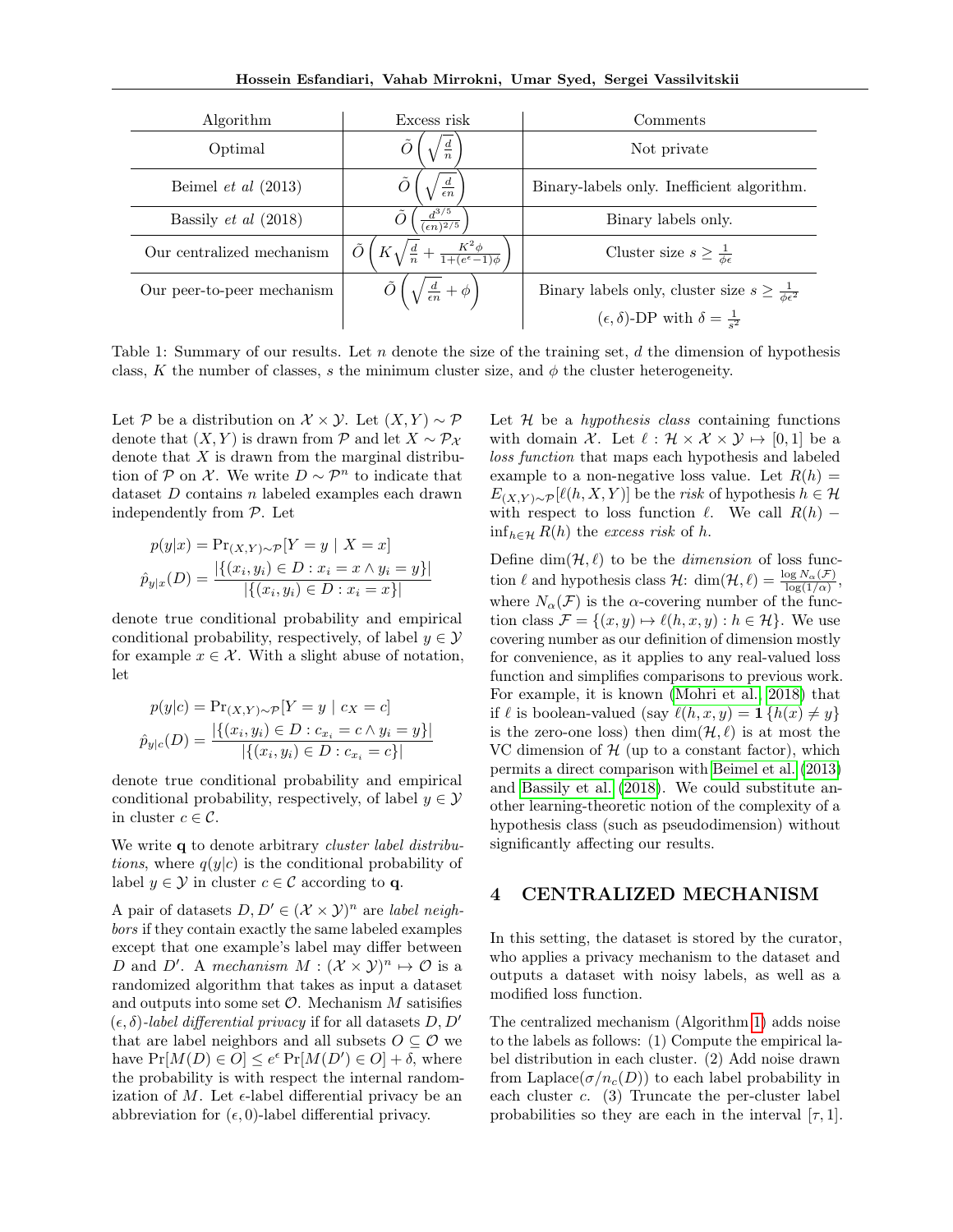| Algorithm                   | Excess risk                                                       | Comments                                                            |
|-----------------------------|-------------------------------------------------------------------|---------------------------------------------------------------------|
| Optimal                     | $\frac{d}{n}$                                                     | Not private                                                         |
| Beimel et al $(2013)$       | $\frac{d}{\epsilon n}$                                            | Binary-labels only. Inefficient algorithm.                          |
| Bassily <i>et al</i> (2018) | $\frac{d^{3/5}}{(\epsilon n)^{2/5}}$                              | Binary labels only.                                                 |
| Our centralized mechanism   | Õ<br>$K\sqrt{\frac{d}{n}}+\frac{K^2\phi}{1+(e^{\epsilon}-1)\phi}$ | Cluster size $s \geq \frac{1}{\phi \epsilon}$                       |
| Our peer-to-peer mechanism  | $\left(\sqrt{\frac{d}{\epsilon n}}+\phi\right)^n$                 | Binary labels only, cluster size $s \geq \frac{1}{\phi \epsilon^2}$ |
|                             |                                                                   | $(\epsilon, \delta)$ -DP with $\delta = \frac{1}{s^2}$              |

Table 1: Summary of our results. Let n denote the size of the training set, d the dimension of hypothesis class, K the number of classes, s the minimum cluster size, and  $\phi$  the cluster heterogeneity.

Let P be a distribution on  $\mathcal{X} \times \mathcal{Y}$ . Let  $(X, Y) \sim \mathcal{P}$ denote that  $(X, Y)$  is drawn from P and let  $X \sim \mathcal{P}_X$ denote that  $X$  is drawn from the marginal distribution of P on X. We write  $D \sim \mathcal{P}^n$  to indicate that dataset D contains n labeled examples each drawn independently from P. Let

$$
p(y|x) = \Pr_{(X,Y) \sim \mathcal{P}}[Y = y \mid X = x]
$$

$$
\hat{p}_{y|x}(D) = \frac{|\{(x_i, y_i) \in D : x_i = x \land y_i = y\}|}{|\{(x_i, y_i) \in D : x_i = x\}|}
$$

denote true conditional probability and empirical conditional probability, respectively, of label  $y \in \mathcal{Y}$ for example  $x \in \mathcal{X}$ . With a slight abuse of notation, let

$$
p(y|c) = \Pr_{(X,Y)\sim\mathcal{P}}[Y = y \mid c_X = c]
$$
  

$$
\hat{p}_{y|c}(D) = \frac{|\{(x_i, y_i) \in D : c_{x_i} = c \land y_i = y\}|}{|\{(x_i, y_i) \in D : c_{x_i} = c\}|}
$$

denote true conditional probability and empirical conditional probability, respectively, of label  $y \in \mathcal{Y}$ in cluster  $c \in \mathcal{C}$ .

We write q to denote arbitrary *cluster label distributions*, where  $q(y|c)$  is the conditional probability of label  $y \in \mathcal{Y}$  in cluster  $c \in \mathcal{C}$  according to q.

A pair of datasets  $D, D' \in (\mathcal{X} \times \mathcal{Y})^n$  are label neighbors if they contain exactly the same labeled examples except that one example's label may differ between D and D'. A mechanism  $M : (\mathcal{X} \times \mathcal{Y})^n \mapsto \mathcal{O}$  is a randomized algorithm that takes as input a dataset and outputs into some set  $\mathcal O$ . Mechanism  $M$  satisifies  $(\epsilon, \delta)$ -label differential privacy if for all datasets D, D' that are label neighbors and all subsets  $O \subseteq \mathcal{O}$  we have  $Pr[M(D) \in O] \leq e^{\epsilon} Pr[M(D') \in O] + \delta$ , where the probability is with respect the internal randomization of M. Let  $\epsilon$ -label differential privacy be an abbreviation for  $(\epsilon, 0)$ -label differential privacy.

<span id="page-2-0"></span>Let  $H$  be a *hypothesis class* containing functions with domain X. Let  $\ell : \mathcal{H} \times \mathcal{X} \times \mathcal{Y} \mapsto [0, 1]$  be a loss function that maps each hypothesis and labeled example to a non-negative loss value. Let  $R(h) =$  $E_{(X,Y)\sim \mathcal{P}}[\ell(h, X, Y)]$  be the risk of hypothesis  $h \in \mathcal{H}$ with respect to loss function  $\ell$ . We call  $R(h)$  –  $\inf_{h \in \mathcal{H}} R(h)$  the excess risk of h.

Define  $\dim(\mathcal{H}, \ell)$  to be the *dimension* of loss function  $\ell$  and hypothesis class  $\mathcal{H}$ : dim $(\mathcal{H}, \ell) = \frac{\log N_{\alpha}(\mathcal{F})}{\log(1/\alpha)}$ , where  $N_{\alpha}(\mathcal{F})$  is the  $\alpha$ -covering number of the function class  $\mathcal{F} = \{(x, y) \mapsto \ell(h, x, y) : h \in \mathcal{H}\}.$  We use covering number as our definition of dimension mostly for convenience, as it applies to any real-valued loss function and simplifies comparisons to previous work. For example, it is known [\(Mohri et al., 2018\)](#page-9-8) that if  $\ell$  is boolean-valued (say  $\ell(h, x, y) = \mathbf{1} \{h(x) \neq y\}$ is the zero-one loss) then  $\dim(\mathcal{H}, \ell)$  is at most the VC dimension of  $H$  (up to a constant factor), which permits a direct comparison with [Beimel et al.](#page-9-3) [\(2013\)](#page-9-3) and [Bassily et al.](#page-9-4) [\(2018\)](#page-9-4). We could substitute another learning-theoretic notion of the complexity of a hypothesis class (such as pseudodimension) without significantly affecting our results.

## <span id="page-2-1"></span>4 CENTRALIZED MECHANISM

In this setting, the dataset is stored by the curator, who applies a privacy mechanism to the dataset and outputs a dataset with noisy labels, as well as a modified loss function.

The centralized mechanism (Algorithm [1\)](#page-3-0) adds noise to the labels as follows: (1) Compute the empirical label distribution in each cluster. (2) Add noise drawn from Laplace( $\sigma/n_c(D)$ ) to each label probability in each cluster  $c.$  (3) Truncate the per-cluster label probabilities so they are each in the interval  $[\tau, 1]$ .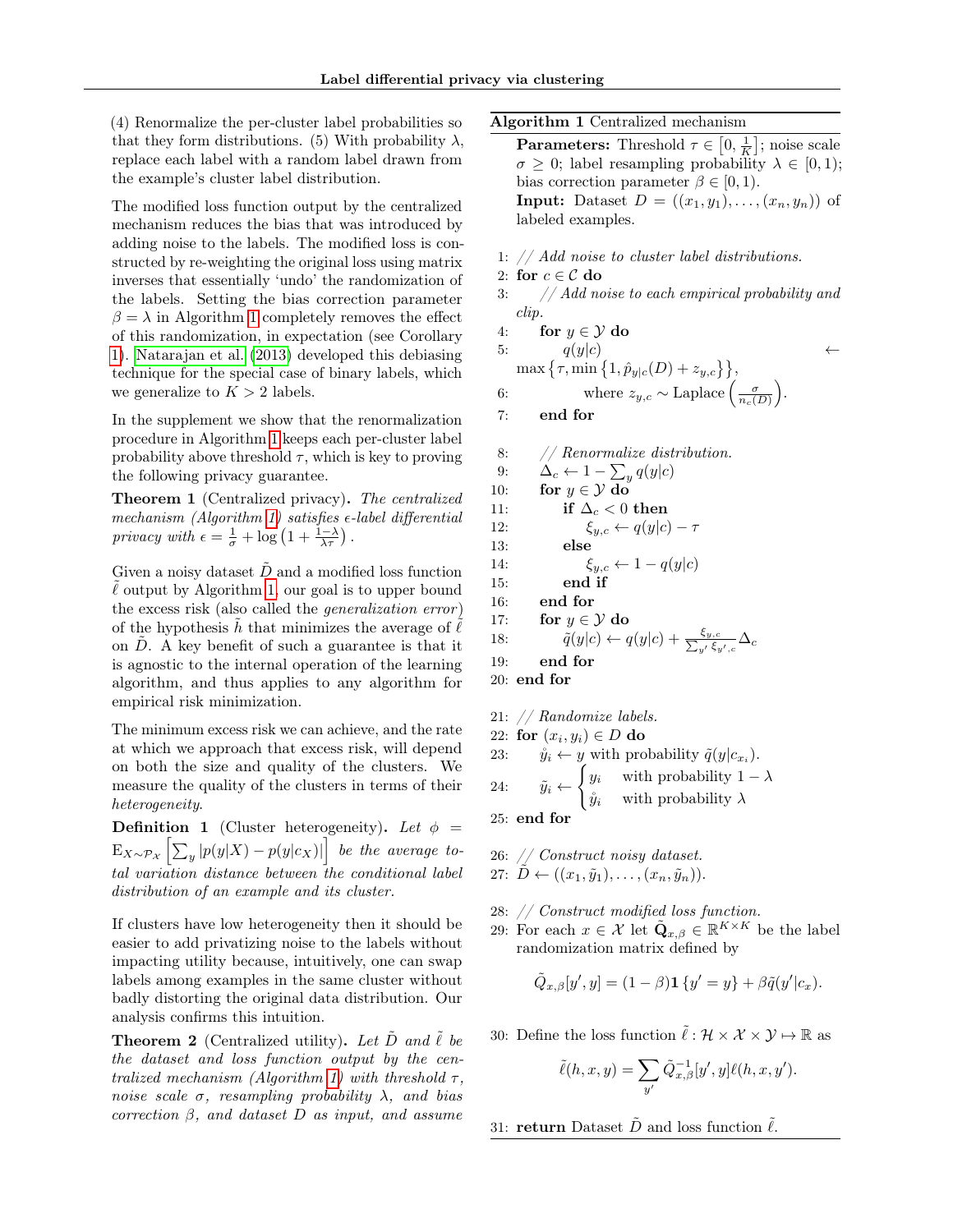(4) Renormalize the per-cluster label probabilities so that they form distributions. (5) With probability  $\lambda$ , replace each label with a random label drawn from the example's cluster label distribution.

The modified loss function output by the centralized mechanism reduces the bias that was introduced by adding noise to the labels. The modified loss is constructed by re-weighting the original loss using matrix inverses that essentially 'undo' the randomization of the labels. Setting the bias correction parameter  $\beta = \lambda$  in Algorithm [1](#page-3-0) completely removes the effect of this randomization, in expectation (see Corollary [1\)](#page-4-0). [Natarajan et al.](#page-9-7) [\(2013\)](#page-9-7) developed this debiasing technique for the special case of binary labels, which we generalize to  $K > 2$  labels.

In the supplement we show that the renormalization procedure in Algorithm [1](#page-3-0) keeps each per-cluster label probability above threshold  $\tau$ , which is key to proving the following privacy guarantee.

<span id="page-3-2"></span>Theorem 1 (Centralized privacy). The centralized mechanism (Algorithm [1\)](#page-3-0) satisfies  $\epsilon$ -label differential privacy with  $\epsilon = \frac{1}{\sigma} + \log \left( 1 + \frac{1-\lambda}{\lambda \tau} \right)$ .

Given a noisy dataset  $\ddot{D}$  and a modified loss function  $\ell$  output by Algorithm [1,](#page-3-0) our goal is to upper bound the excess risk (also called the generalization error ) of the hypothesis h that minimizes the average of  $\ell$ on  $D$ . A key benefit of such a guarantee is that it is agnostic to the internal operation of the learning algorithm, and thus applies to any algorithm for empirical risk minimization.

The minimum excess risk we can achieve, and the rate at which we approach that excess risk, will depend on both the size and quality of the clusters. We measure the quality of the clusters in terms of their heterogeneity.

<span id="page-3-1"></span>**Definition 1** (Cluster heterogeneity). Let  $\phi$  =  $\begin{aligned} \mathop{\mathop{\rm E}}_{X \sim \mathcal{P}_X} \left[ \sum_y \left| p(y|X) - p(y|c_X) \right| \right] \ \textit{be the average to-} \end{aligned}$ tal variation distance between the conditional label distribution of an example and its cluster.

If clusters have low heterogeneity then it should be easier to add privatizing noise to the labels without impacting utility because, intuitively, one can swap labels among examples in the same cluster without badly distorting the original data distribution. Our analysis confirms this intuition.

<span id="page-3-3"></span>**Theorem 2** (Centralized utility). Let  $\ddot{D}$  and  $\ell$  be the dataset and loss function output by the cen-tralized mechanism (Algorithm [1\)](#page-3-0) with threshold  $\tau$ , noise scale  $\sigma$ , resampling probability  $\lambda$ , and bias correction  $\beta$ , and dataset D as input, and assume

### Algorithm 1 Centralized mechanism

<span id="page-3-0"></span>**Parameters:** Threshold  $\tau \in [0, \frac{1}{K}]$ ; noise scale  $\sigma \geq 0$ ; label resampling probability  $\lambda \in [0,1)$ ; bias correction parameter  $\beta \in [0, 1)$ . **Input:** Dataset  $D = ((x_1, y_1), \ldots, (x_n, y_n))$  of labeled examples.

1: // Add noise to cluster label distributions.

- 2: for  $c \in \mathcal{C}$  do
- 3:  $\frac{1}{4}$  / Add noise to each empirical probability and clip.

4: for 
$$
y \in \mathcal{Y}
$$
 do

5:  $q(y|c)$   $\leftarrow$  $\max\left\{\tau, \min\left\{1, \hat{p}_{y|c}(D) + z_{y,c}\right\}\right\},$ 6: where  $z_{y,c} \sim \text{Laplace}\left(\frac{\sigma}{n_c(D)}\right)$ . 7: end for

8: // Renormalize distribution. 9:  $\Delta_c \leftarrow 1 - \sum_y q(y|c)$ 10: for  $y \in \mathcal{Y}$  do 11: if  $\Delta_c < 0$  then 12:  $\xi_{y,c} \leftarrow q(y|c) - \tau$ 13: else 14:  $\xi_{y,c} \leftarrow 1 - q(y|c)$ 15: end if 16: end for 17: for  $y \in \mathcal{Y}$  do 18:  $\tilde{q}(y|c) \leftarrow q(y|c) + \frac{\xi_{y,c}}{\sum_{y'} \xi_{y'}}$  $\frac{\xi_{y,c}}{y'}\frac{\Delta_c}{\xi_{y',c}}\Delta_c$ 19: end for 20: end for

21: // Randomize labels. 22: for  $(x_i, y_i) \in D$  do 23:  $\hat{y}_i \leftarrow y$  with probability  $\tilde{q}(y|c_{x_i}).$ 24:  $\tilde{y}_i \leftarrow$  $\int y_i$  with probability  $1 - \lambda$  $\hat{y}_i$  with probability  $\lambda$ 25: end for

26: // Construct noisy dataset. 27:  $D \leftarrow ((x_1, \tilde{y}_1), \ldots, (x_n, \tilde{y}_n)).$ 

- 28: // Construct modified loss function.
- 29: For each  $x \in \mathcal{X}$  let  $\tilde{\mathbf{Q}}_{x,\beta} \in \mathbb{R}^{K \times K}$  be the label randomization matrix defined by

$$
\tilde{Q}_{x,\beta}[y',y] = (1-\beta)\mathbf{1}\{y'=y\} + \beta\tilde{q}(y'|c_x).
$$

30: Define the loss function  $\tilde{\ell} : \mathcal{H} \times \mathcal{X} \times \mathcal{Y} \mapsto \mathbb{R}$  as

$$
\tilde{\ell}(h,x,y) = \sum_{y'} \tilde{Q}_{x,\beta}^{-1}[y',y] \ell(h,x,y').
$$

31: return Dataset  $\tilde{D}$  and loss function  $\tilde{\ell}$ .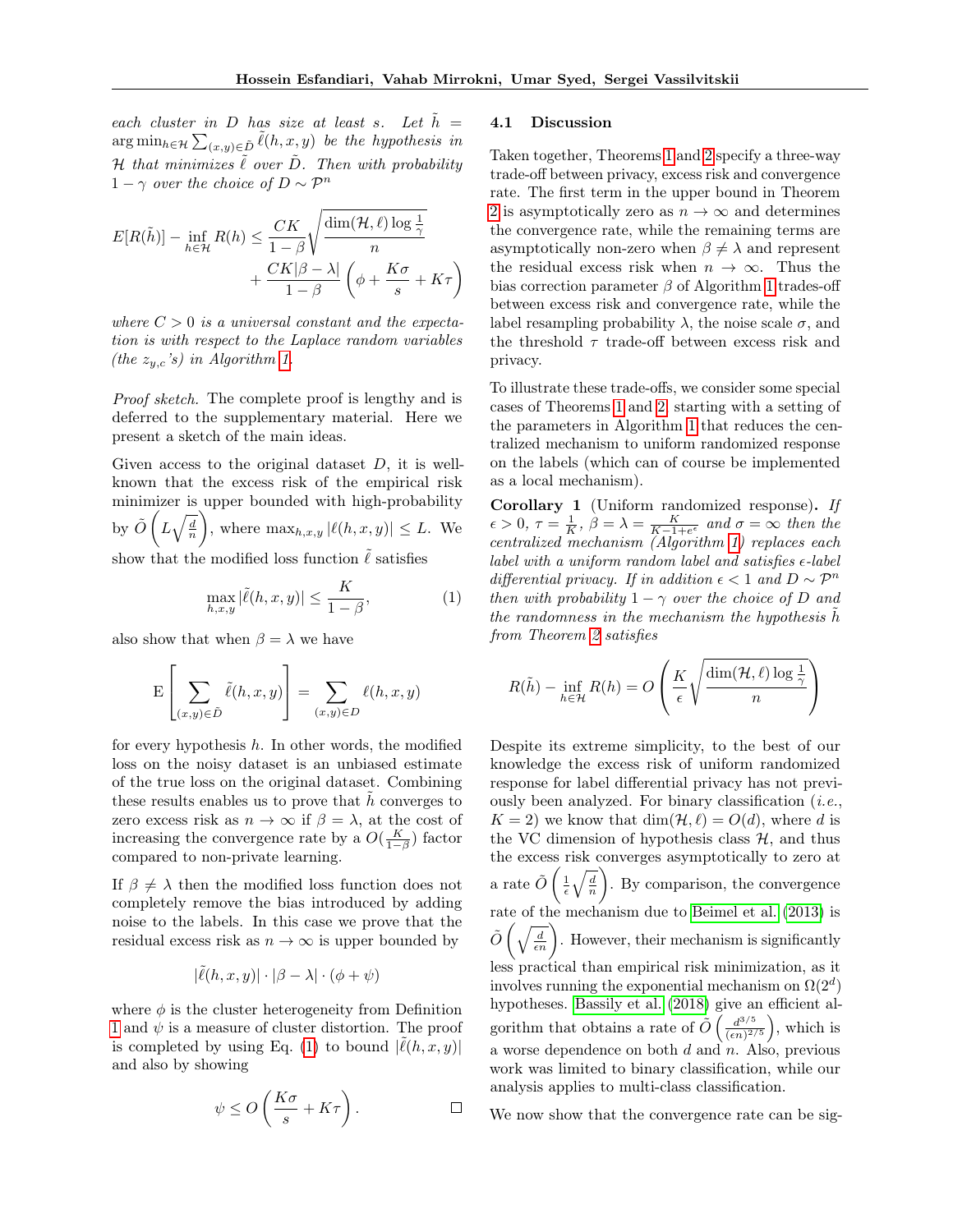each cluster in D has size at least s. Let  $\tilde{h} =$  $\arg\min_{h\in\mathcal{H}}\sum_{(x,y)\in\tilde{D}}\tilde{\ell}(h,x,y)$  be the hypothesis in  $H$  that minimizes  $\tilde{\ell}$  over  $\tilde{D}$ . Then with probability  $1 - \gamma$  over the choice of  $D \sim \mathcal{P}^n$ 

$$
E[R(\tilde{h})] - \inf_{h \in \mathcal{H}} R(h) \le \frac{CK}{1-\beta} \sqrt{\frac{\dim(\mathcal{H}, \ell) \log \frac{1}{\gamma}}{n}} + \frac{CK|\beta - \lambda|}{1-\beta} \left(\phi + \frac{K\sigma}{s} + K\tau\right)
$$

where  $C > 0$  is a universal constant and the expectation is with respect to the Laplace random variables (the  $z_{y,c}$ 's) in Algorithm [1.](#page-3-0)

Proof sketch. The complete proof is lengthy and is deferred to the supplementary material. Here we present a sketch of the main ideas.

Given access to the original dataset  $D$ , it is wellknown that the excess risk of the empirical risk minimizer is upper bounded with high-probability by  $\tilde{O}\left(L\sqrt{\frac{d}{n}}\right)$ ), where  $\max_{h,x,y} |\ell(h, x, y)| \leq L$ . We

show that the modified loss function  $\tilde{\ell}$  satisfies

<span id="page-4-1"></span>
$$
\max_{h,x,y} |\tilde{\ell}(h,x,y)| \le \frac{K}{1-\beta},\tag{1}
$$

also show that when  $\beta = \lambda$  we have

$$
\mathcal{E}\left[\sum_{(x,y)\in\tilde{D}}\tilde{\ell}(h,x,y)\right]=\sum_{(x,y)\in D}\ell(h,x,y)
$$

for every hypothesis  $h$ . In other words, the modified loss on the noisy dataset is an unbiased estimate of the true loss on the original dataset. Combining these results enables us to prove that  $h$  converges to zero excess risk as  $n \to \infty$  if  $\beta = \lambda$ , at the cost of increasing the convergence rate by a  $O(\frac{K}{1-\beta})$  factor compared to non-private learning.

If  $\beta \neq \lambda$  then the modified loss function does not completely remove the bias introduced by adding noise to the labels. In this case we prove that the residual excess risk as  $n \to \infty$  is upper bounded by

$$
|\tilde{\ell}(h, x, y)| \cdot |\beta - \lambda| \cdot (\phi + \psi)
$$

where  $\phi$  is the cluster heterogeneity from Definition [1](#page-3-1) and  $\psi$  is a measure of cluster distortion. The proof is completed by using Eq. [\(1\)](#page-4-1) to bound  $|\tilde{\ell}(h, x, y)|$ and also by showing

$$
\psi \le O\left(\frac{K\sigma}{s} + K\tau\right).
$$

#### 4.1 Discussion

Taken together, Theorems [1](#page-3-2) and [2](#page-3-3) specify a three-way trade-off between privacy, excess risk and convergence rate. The first term in the upper bound in Theorem [2](#page-3-3) is asymptotically zero as  $n \to \infty$  and determines the convergence rate, while the remaining terms are asymptotically non-zero when  $\beta \neq \lambda$  and represent the residual excess risk when  $n \to \infty$ . Thus the bias correction parameter  $\beta$  of Algorithm [1](#page-3-0) trades-off between excess risk and convergence rate, while the label resampling probability  $\lambda$ , the noise scale  $\sigma$ , and the threshold  $\tau$  trade-off between excess risk and privacy.

To illustrate these trade-offs, we consider some special cases of Theorems [1](#page-3-2) and [2,](#page-3-3) starting with a setting of the parameters in Algorithm [1](#page-3-0) that reduces the centralized mechanism to uniform randomized response on the labels (which can of course be implemented as a local mechanism).

<span id="page-4-0"></span>Corollary 1 (Uniform randomized response). If  $\epsilon > 0, \tau = \frac{1}{K}, \beta = \lambda = \frac{K}{K-1+e^{\epsilon}}$  and  $\sigma = \infty$  then the centralized mechanism (Algorithm [1\)](#page-3-0) replaces each label with a uniform random label and satisfies  $\epsilon$ -label differential privacy. If in addition  $\epsilon < 1$  and  $D \sim \mathcal{P}^n$ then with probability  $1 - \gamma$  over the choice of D and the randomness in the mechanism the hypothesis  $h$ from Theorem [2](#page-3-3) satisfies

$$
R(\tilde{h}) - \inf_{h \in \mathcal{H}} R(h) = O\left(\frac{K}{\epsilon} \sqrt{\frac{\dim(\mathcal{H}, \ell) \log \frac{1}{\gamma}}{n}}\right)
$$

Despite its extreme simplicity, to the best of our knowledge the excess risk of uniform randomized response for label differential privacy has not previously been analyzed. For binary classification  $(i.e.,$  $K = 2$ ) we know that  $\dim(\mathcal{H}, \ell) = O(d)$ , where d is the VC dimension of hypothesis class  $H$ , and thus the excess risk converges asymptotically to zero at a rate  $\tilde{O}\left(\frac{1}{\epsilon}\sqrt{\frac{d}{n}}\right)$  . By comparison, the convergence rate of the mechanism due to [Beimel et al.](#page-9-3) [\(2013\)](#page-9-3) is  $\tilde{O}\left(\sqrt{\frac{d}{\epsilon n}}\right)$ . However, their mechanism is significantly less practical than empirical risk minimization, as it involves running the exponential mechanism on  $\Omega(2^d)$ hypotheses. [Bassily et al.](#page-9-4) [\(2018\)](#page-9-4) give an efficient algorithm that obtains a rate of  $\tilde{O} \left( \frac{d^{3/5}}{(cn)^2} \right)$  $\frac{d^{3/5}}{(\epsilon n)^{2/5}}$ , which is a worse dependence on both  $d$  and  $n$ . Also, previous work was limited to binary classification, while our analysis applies to multi-class classification.

We now show that the convergence rate can be sig-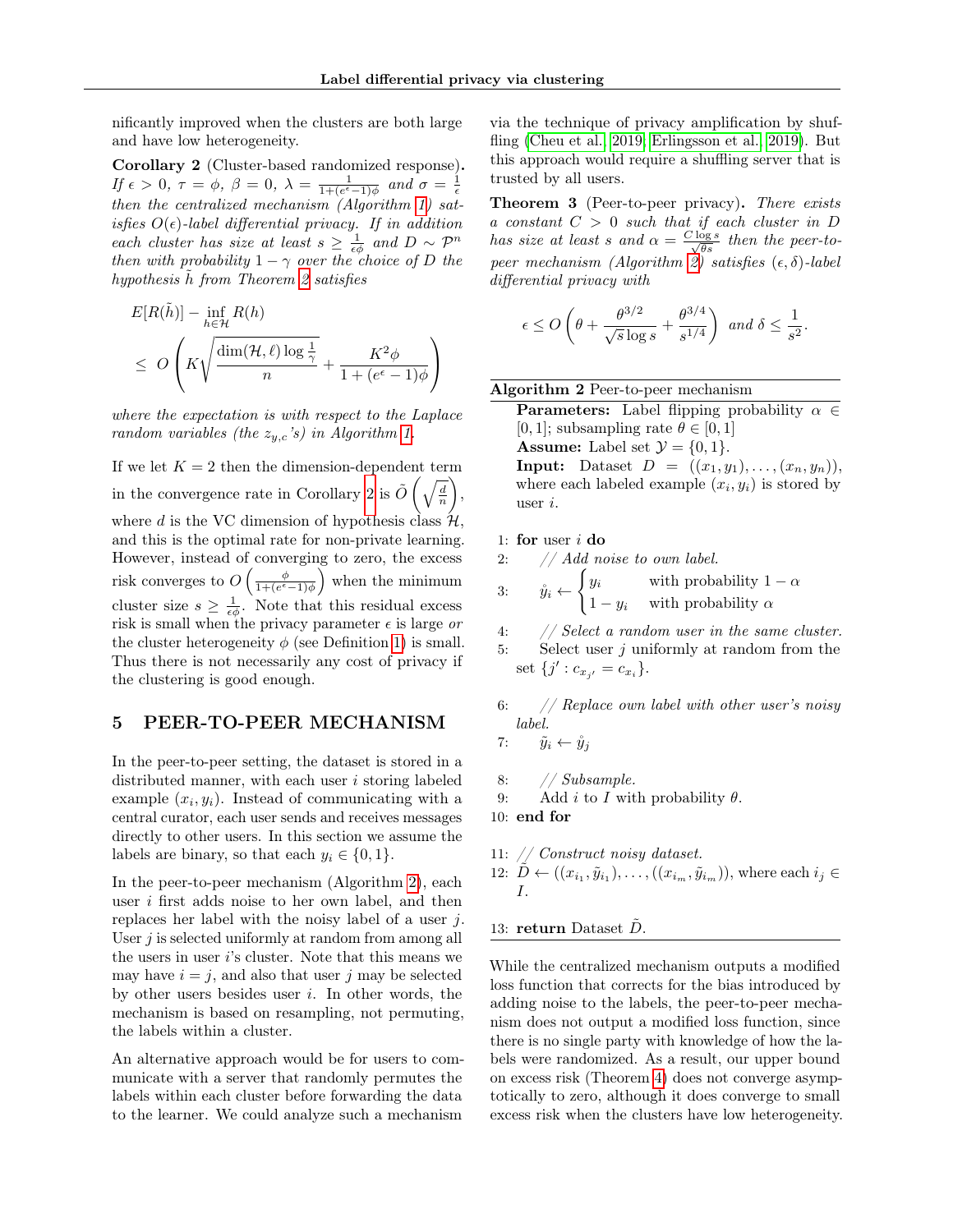nificantly improved when the clusters are both large and have low heterogeneity.

<span id="page-5-1"></span>Corollary 2 (Cluster-based randomized response). If  $\epsilon > 0$ ,  $\tau = \phi$ ,  $\beta = 0$ ,  $\lambda = \frac{1}{1 + (e^{\epsilon} - 1)\phi}$  and  $\sigma = \frac{1}{\epsilon}$ then the centralized mechanism  $(Algorithm 1)$  $(Algorithm 1)$  satisfies  $O(\epsilon)$ -label differential privacy. If in addition each cluster has size at least  $s \geq \frac{1}{\epsilon \phi}$  and  $D \sim \mathcal{P}^n$ then with probability  $1 - \gamma$  over the choice of D the hypothesis h from Theorem [2](#page-3-3) satisfies

$$
E[R(\tilde{h})] - \inf_{h \in \mathcal{H}} R(h)
$$
  

$$
\leq O\left(K\sqrt{\frac{\dim(\mathcal{H}, \ell) \log \frac{1}{\gamma}}{n}} + \frac{K^2 \phi}{1 + (e^{\epsilon} - 1)\phi}\right)
$$

where the expectation is with respect to the Laplace random variables (the  $z_{y,c}$ 's) in Algorithm [1.](#page-3-0)

If we let  $K = 2$  then the dimension-dependent term in the convergence rate in Corollary [2](#page-5-1) is  $\tilde{O}\left(\sqrt{\frac{d}{n}}\right)$  , where d is the VC dimension of hypothesis class  $\mathcal{H}$ , and this is the optimal rate for non-private learning. However, instead of converging to zero, the excess risk converges to  $O\left(\frac{\phi}{1+(e^{\epsilon}-1)\phi}\right)$  when the minimum cluster size  $s \geq \frac{1}{\epsilon \phi}$ . Note that this residual excess risk is small when the privacy parameter  $\epsilon$  is large or the cluster heterogeneity  $\phi$  (see Definition [1\)](#page-3-1) is small. Thus there is not necessarily any cost of privacy if the clustering is good enough.

## <span id="page-5-0"></span>5 PEER-TO-PEER MECHANISM

In the peer-to-peer setting, the dataset is stored in a distributed manner, with each user  $i$  storing labeled example  $(x_i, y_i)$ . Instead of communicating with a central curator, each user sends and receives messages directly to other users. In this section we assume the labels are binary, so that each  $y_i \in \{0, 1\}.$ 

In the peer-to-peer mechanism (Algorithm [2\)](#page-5-2), each user i first adds noise to her own label, and then replaces her label with the noisy label of a user j. User  $j$  is selected uniformly at random from among all the users in user i's cluster. Note that this means we may have  $i = j$ , and also that user j may be selected by other users besides user  $i$ . In other words, the mechanism is based on resampling, not permuting, the labels within a cluster.

An alternative approach would be for users to communicate with a server that randomly permutes the labels within each cluster before forwarding the data to the learner. We could analyze such a mechanism via the technique of privacy amplification by shuffling [\(Cheu et al., 2019;](#page-9-9) [Erlingsson et al., 2019\)](#page-9-10). But this approach would require a shuffling server that is trusted by all users.

<span id="page-5-3"></span>Theorem 3 (Peer-to-peer privacy). There exists a constant  $C > 0$  such that if each cluster in D has size at least s and  $\alpha = \frac{C \log s}{\sqrt{\theta s}}$  then the peer-to-peer mechanism (Algorithm [2\)](#page-5-2) satisfies  $(\epsilon, \delta)$ -label differential privacy with

$$
\epsilon \leq O\left(\theta + \frac{\theta^{3/2}}{\sqrt{s}\log s} + \frac{\theta^{3/4}}{s^{1/4}}\right) \text{ and } \delta \leq \frac{1}{s^2}.
$$

Algorithm 2 Peer-to-peer mechanism

<span id="page-5-2"></span>**Parameters:** Label flipping probability  $\alpha \in$ [0, 1]; subsampling rate  $\theta \in [0, 1]$ **Assume:** Label set  $\mathcal{Y} = \{0, 1\}.$ **Input:** Dataset  $D = ((x_1, y_1), \ldots, (x_n, y_n)),$ where each labeled example  $(x_i, y_i)$  is stored by user i.

#### 1: for user  $i$  do

$$
2: \hspace{20pt} // \hspace{.10pt} Add\hspace{.10pt} noise\hspace{.10pt} to\hspace{.10pt} own\hspace{.10pt} label.
$$

3: 
$$
\hat{y}_i \leftarrow \begin{cases} y_i & \text{with probability } 1 - \alpha \\ 1 - y_i & \text{with probability } \alpha \end{cases}
$$

4: // Select a random user in the same cluster.

5: Select user  $j$  uniformly at random from the set  $\{j' : c_{x_{j'}} = c_{x_i}\}.$ 

- 6: // Replace own label with other user's noisy label.
- 7:  $\tilde{y}_i \leftarrow \mathring{y}_j$
- 8: // Subsample.
- 9: Add i to I with probability  $\theta$ .
- 10: end for
- 11: // Construct noisy dataset.

12: 
$$
\tilde{D} \leftarrow ((x_{i_1}, \tilde{y}_{i_1}), \ldots, ((x_{i_m}, \tilde{y}_{i_m})),
$$
 where each  $i_j \in I$ .

#### 13: return Dataset  $D$ .

While the centralized mechanism outputs a modified loss function that corrects for the bias introduced by adding noise to the labels, the peer-to-peer mechanism does not output a modified loss function, since there is no single party with knowledge of how the labels were randomized. As a result, our upper bound on excess risk (Theorem [4\)](#page-6-1) does not converge asymptotically to zero, although it does converge to small excess risk when the clusters have low heterogeneity.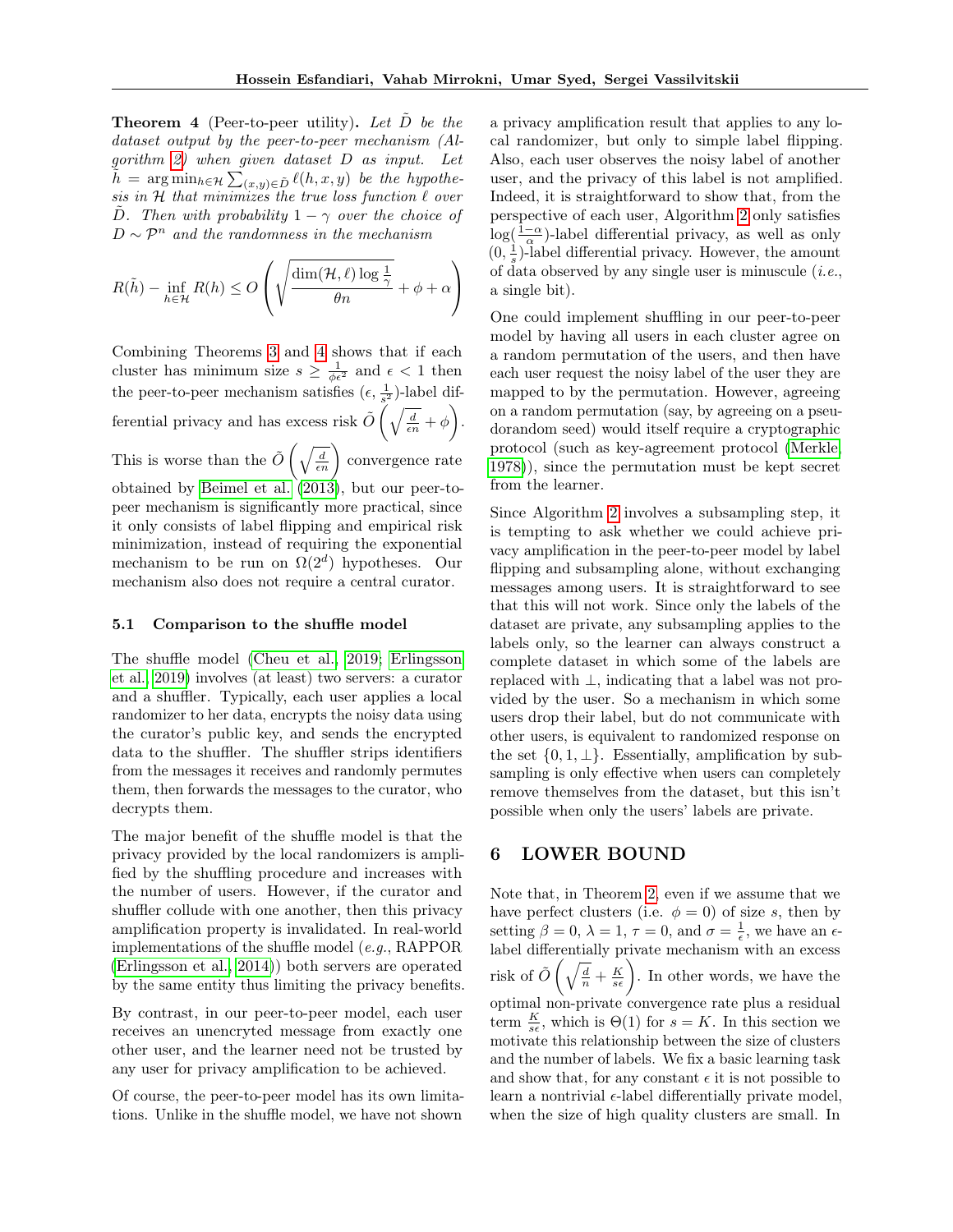<span id="page-6-1"></span>**Theorem 4** (Peer-to-peer utility). Let  $\ddot{D}$  be the dataset output by the peer-to-peer mechanism (Algorithm [2\)](#page-5-2) when given dataset D as input. Let  $\tilde{h} = \arg \min_{h \in \mathcal{H}} \sum_{(x,y) \in \tilde{D}} \ell(h, x, y)$  be the hypothesis in  $H$  that minimizes the true loss function  $\ell$  over D. Then with probability  $1 - \gamma$  over the choice of  $D \sim \mathcal{P}^n$  and the randomness in the mechanism

$$
R(\tilde{h}) - \inf_{h \in \mathcal{H}} R(h) \le O\left(\sqrt{\frac{\dim(\mathcal{H}, \ell) \log \frac{1}{\gamma}}{\theta n}} + \phi + \alpha\right)
$$

Combining Theorems [3](#page-5-3) and [4](#page-6-1) shows that if each cluster has minimum size  $s \geq \frac{1}{\phi \epsilon^2}$  and  $\epsilon < 1$  then the peer-to-peer mechanism satisfies  $(\epsilon, \frac{1}{s^2})$ -label differential privacy and has excess risk  $\tilde{O}\left(\sqrt{\frac{d}{\epsilon n}} + \phi\right)$ . This is worse than the  $\tilde{O}\left(\sqrt{\frac{d}{\epsilon n}}\right)$  convergence rate obtained by [Beimel et al.](#page-9-3) [\(2013\)](#page-9-3), but our peer-topeer mechanism is significantly more practical, since it only consists of label flipping and empirical risk minimization, instead of requiring the exponential mechanism to be run on  $\Omega(2^d)$  hypotheses. Our mechanism also does not require a central curator.

#### 5.1 Comparison to the shuffle model

The shuffle model [\(Cheu et al., 2019;](#page-9-9) [Erlingsson](#page-9-10) [et al., 2019\)](#page-9-10) involves (at least) two servers: a curator and a shuffler. Typically, each user applies a local randomizer to her data, encrypts the noisy data using the curator's public key, and sends the encrypted data to the shuffler. The shuffler strips identifiers from the messages it receives and randomly permutes them, then forwards the messages to the curator, who decrypts them.

The major benefit of the shuffle model is that the privacy provided by the local randomizers is amplified by the shuffling procedure and increases with the number of users. However, if the curator and shuffler collude with one another, then this privacy amplification property is invalidated. In real-world implementations of the shuffle model (e.g., RAPPOR [\(Erlingsson et al., 2014\)](#page-9-11)) both servers are operated by the same entity thus limiting the privacy benefits.

By contrast, in our peer-to-peer model, each user receives an unencryted message from exactly one other user, and the learner need not be trusted by any user for privacy amplification to be achieved.

Of course, the peer-to-peer model has its own limitations. Unlike in the shuffle model, we have not shown a privacy amplification result that applies to any local randomizer, but only to simple label flipping. Also, each user observes the noisy label of another user, and the privacy of this label is not amplified. Indeed, it is straightforward to show that, from the perspective of each user, Algorithm [2](#page-5-2) only satisfies  $\log(\frac{1-\alpha}{\alpha})$ -label differential privacy, as well as only  $(0, \frac{1}{s})$ -label differential privacy. However, the amount of data observed by any single user is minuscule  $(i.e.,$ a single bit).

One could implement shuffling in our peer-to-peer model by having all users in each cluster agree on a random permutation of the users, and then have each user request the noisy label of the user they are mapped to by the permutation. However, agreeing on a random permutation (say, by agreeing on a pseudorandom seed) would itself require a cryptographic protocol (such as key-agreement protocol [\(Merkle,](#page-9-12) [1978\)](#page-9-12)), since the permutation must be kept secret from the learner.

Since Algorithm [2](#page-5-2) involves a subsampling step, it is tempting to ask whether we could achieve privacy amplification in the peer-to-peer model by label flipping and subsampling alone, without exchanging messages among users. It is straightforward to see that this will not work. Since only the labels of the dataset are private, any subsampling applies to the labels only, so the learner can always construct a complete dataset in which some of the labels are replaced with ⊥, indicating that a label was not provided by the user. So a mechanism in which some users drop their label, but do not communicate with other users, is equivalent to randomized response on the set  $\{0, 1, \perp\}$ . Essentially, amplification by subsampling is only effective when users can completely remove themselves from the dataset, but this isn't possible when only the users' labels are private.

# <span id="page-6-0"></span>6 LOWER BOUND

Note that, in Theorem [2,](#page-3-3) even if we assume that we have perfect clusters (i.e.  $\phi = 0$ ) of size s, then by setting  $\beta = 0$ ,  $\lambda = 1$ ,  $\tau = 0$ , and  $\sigma = \frac{1}{\epsilon}$ , we have an  $\epsilon$ label differentially private mechanism with an excess risk of  $\tilde{O}\left(\sqrt{\frac{d}{n}} + \frac{K}{s\epsilon}\right)$ . In other words, we have the optimal non-private convergence rate plus a residual term  $\frac{K}{s\epsilon}$ , which is  $\Theta(1)$  for  $s = K$ . In this section we motivate this relationship between the size of clusters and the number of labels. We fix a basic learning task and show that, for any constant  $\epsilon$  it is not possible to learn a nontrivial  $\epsilon$ -label differentially private model, when the size of high quality clusters are small. In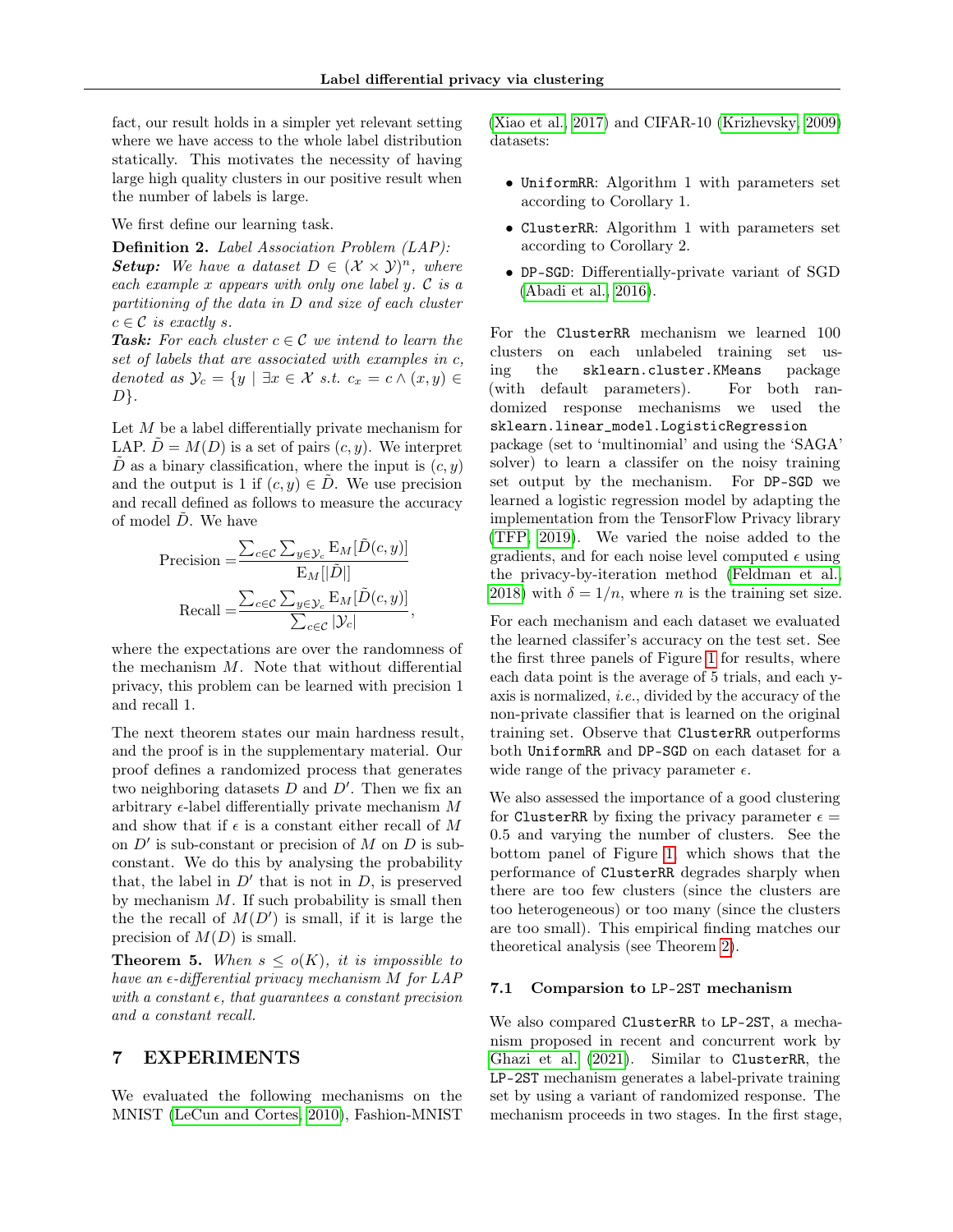fact, our result holds in a simpler yet relevant setting where we have access to the whole label distribution statically. This motivates the necessity of having large high quality clusters in our positive result when the number of labels is large.

We first define our learning task.

Definition 2. Label Association Problem (LAP): **Setup:** We have a dataset  $D \in (\mathcal{X} \times \mathcal{Y})^n$ , where each example x appears with only one label  $y \in \mathcal{C}$  is a partitioning of the data in D and size of each cluster  $c \in \mathcal{C}$  is exactly s.

**Task:** For each cluster  $c \in \mathcal{C}$  we intend to learn the set of labels that are associated with examples in c, denoted as  $\mathcal{Y}_c = \{y \mid \exists x \in \mathcal{X} \text{ s.t. } c_x = c \land (x, y) \in$  $D$ .

Let  $M$  be a label differentially private mechanism for LAP.  $D = M(D)$  is a set of pairs  $(c, y)$ . We interpret  $\overline{D}$  as a binary classification, where the input is  $(c, y)$ and the output is 1 if  $(c, y) \in D$ . We use precision and recall defined as follows to measure the accuracy of model  $\ddot{D}$ . We have

$$
\begin{aligned} \text{Precision} &= \frac{\sum_{c \in \mathcal{C}} \sum_{y \in \mathcal{Y}_c} \mathrm{E}_M[\tilde{D}(c, y)]}{\mathrm{E}_M[|\tilde{D}|]} \\ \text{Recall} &= \frac{\sum_{c \in \mathcal{C}} \sum_{y \in \mathcal{Y}_c} \mathrm{E}_M[\tilde{D}(c, y)]}{\sum_{c \in \mathcal{C}} |\mathcal{Y}_c|}, \end{aligned}
$$

where the expectations are over the randomness of the mechanism M. Note that without differential privacy, this problem can be learned with precision 1 and recall 1.

The next theorem states our main hardness result, and the proof is in the supplementary material. Our proof defines a randomized process that generates two neighboring datasets  $D$  and  $D'$ . Then we fix an arbitrary  $\epsilon$ -label differentially private mechanism M and show that if  $\epsilon$  is a constant either recall of M on  $D'$  is sub-constant or precision of M on D is subconstant. We do this by analysing the probability that, the label in  $D'$  that is not in  $D$ , is preserved by mechanism M. If such probability is small then the the recall of  $M(D')$  is small, if it is large the precision of  $M(D)$  is small.

<span id="page-7-1"></span>**Theorem 5.** When  $s \leq o(K)$ , it is impossible to have an  $\epsilon$ -differential privacy mechanism M for LAP with a constant  $\epsilon$ , that quarantees a constant precision and a constant recall.

# <span id="page-7-0"></span>7 EXPERIMENTS

We evaluated the following mechanisms on the MNIST [\(LeCun and Cortes, 2010\)](#page-9-13), Fashion-MNIST [\(Xiao et al., 2017\)](#page-9-14) and CIFAR-10 [\(Krizhevsky, 2009\)](#page-9-15) datasets:

- UniformRR: Algorithm 1 with parameters set according to Corollary 1.
- ClusterRR: Algorithm 1 with parameters set according to Corollary 2.
- DP-SGD: Differentially-private variant of SGD [\(Abadi et al., 2016\)](#page-8-0).

For the ClusterRR mechanism we learned 100 clusters on each unlabeled training set using the sklearn.cluster.KMeans package (with default parameters). For both randomized response mechanisms we used the sklearn.linear\_model.LogisticRegression package (set to 'multinomial' and using the 'SAGA' solver) to learn a classifer on the noisy training set output by the mechanism. For DP-SGD we learned a logistic regression model by adapting the implementation from the TensorFlow Privacy library [\(TFP, 2019\)](#page-9-16). We varied the noise added to the gradients, and for each noise level computed  $\epsilon$  using the privacy-by-iteration method [\(Feldman et al.,](#page-9-17) [2018\)](#page-9-17) with  $\delta = 1/n$ , where *n* is the training set size.

For each mechanism and each dataset we evaluated the learned classifer's accuracy on the test set. See the first three panels of Figure [1](#page-8-1) for results, where each data point is the average of 5 trials, and each yaxis is normalized, i.e., divided by the accuracy of the non-private classifier that is learned on the original training set. Observe that ClusterRR outperforms both UniformRR and DP-SGD on each dataset for a wide range of the privacy parameter  $\epsilon$ .

We also assessed the importance of a good clustering for ClusterRR by fixing the privacy parameter  $\epsilon =$ 0.5 and varying the number of clusters. See the bottom panel of Figure [1,](#page-8-1) which shows that the performance of ClusterRR degrades sharply when there are too few clusters (since the clusters are too heterogeneous) or too many (since the clusters are too small). This empirical finding matches our theoretical analysis (see Theorem [2\)](#page-3-3).

#### 7.1 Comparsion to LP-2ST mechanism

We also compared ClusterRR to LP-2ST, a mechanism proposed in recent and concurrent work by [Ghazi et al.](#page-9-18) [\(2021\)](#page-9-18). Similar to ClusterRR, the LP-2ST mechanism generates a label-private training set by using a variant of randomized response. The mechanism proceeds in two stages. In the first stage,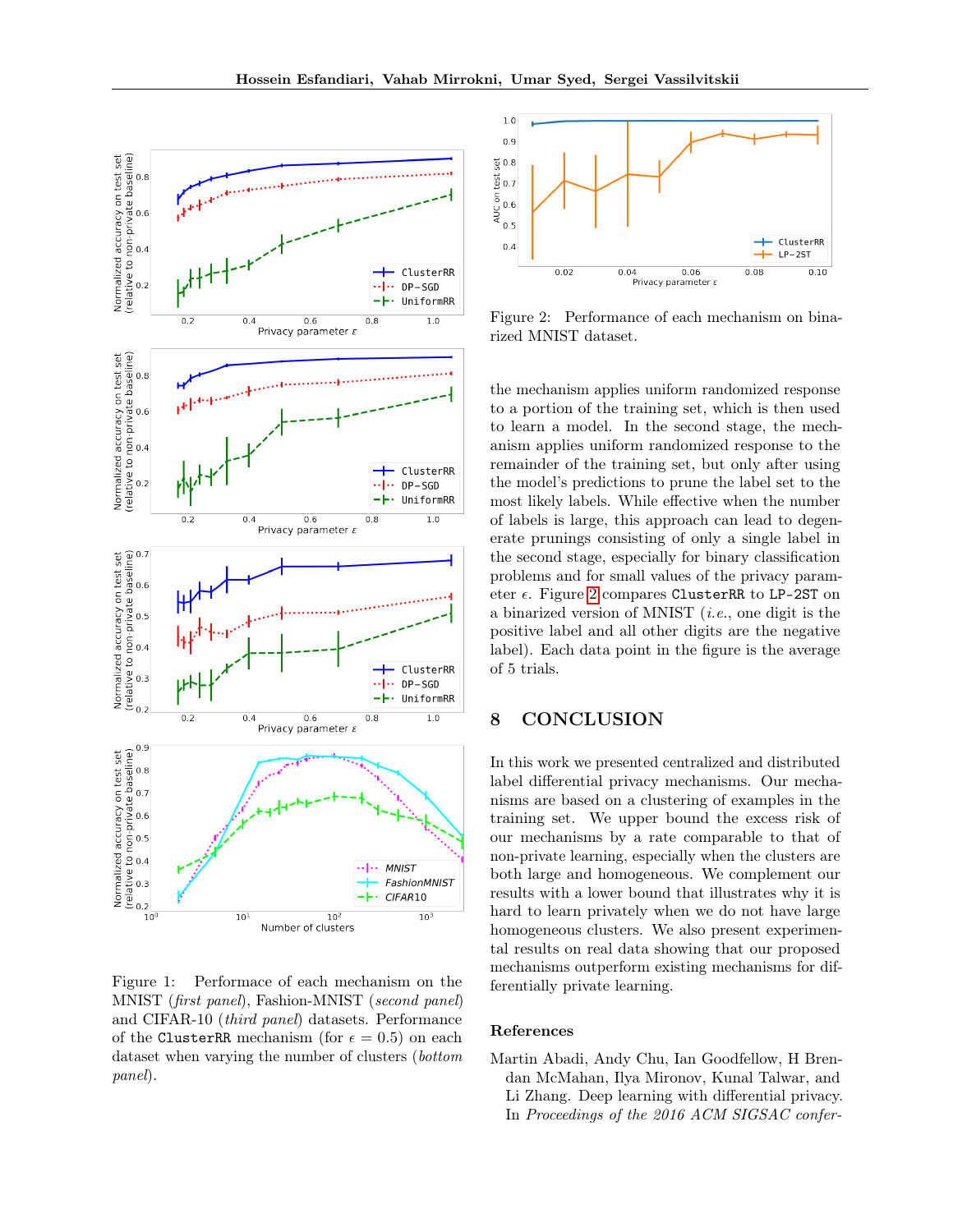

<span id="page-8-1"></span>Figure 1: Performace of each mechanism on the MNIST (first panel), Fashion-MNIST (second panel) and CIFAR-10 (third panel) datasets. Performance of the ClusterRR mechanism (for  $\epsilon = 0.5$ ) on each dataset when varying the number of clusters (bottom panel).



<span id="page-8-2"></span>Figure 2: Performance of each mechanism on binarized MNIST dataset.

the mechanism applies uniform randomized response to a portion of the training set, which is then used to learn a model. In the second stage, the mechanism applies uniform randomized response to the remainder of the training set, but only after using the model's predictions to prune the label set to the most likely labels. While effective when the number of labels is large, this approach can lead to degenerate prunings consisting of only a single label in the second stage, especially for binary classification problems and for small values of the privacy parameter  $\epsilon$ . Figure [2](#page-8-2) compares ClusterRR to LP-2ST on a binarized version of MNIST  $(i.e.,$  one digit is the positive label and all other digits are the negative label). Each data point in the figure is the average of 5 trials.

# 8 CONCLUSION

In this work we presented centralized and distributed label differential privacy mechanisms. Our mechanisms are based on a clustering of examples in the training set. We upper bound the excess risk of our mechanisms by a rate comparable to that of non-private learning, especially when the clusters are both large and homogeneous. We complement our results with a lower bound that illustrates why it is hard to learn privately when we do not have large homogeneous clusters. We also present experimental results on real data showing that our proposed mechanisms outperform existing mechanisms for differentially private learning.

#### References

<span id="page-8-0"></span>Martin Abadi, Andy Chu, Ian Goodfellow, H Brendan McMahan, Ilya Mironov, Kunal Talwar, and Li Zhang. Deep learning with differential privacy. In Proceedings of the 2016 ACM SIGSAC confer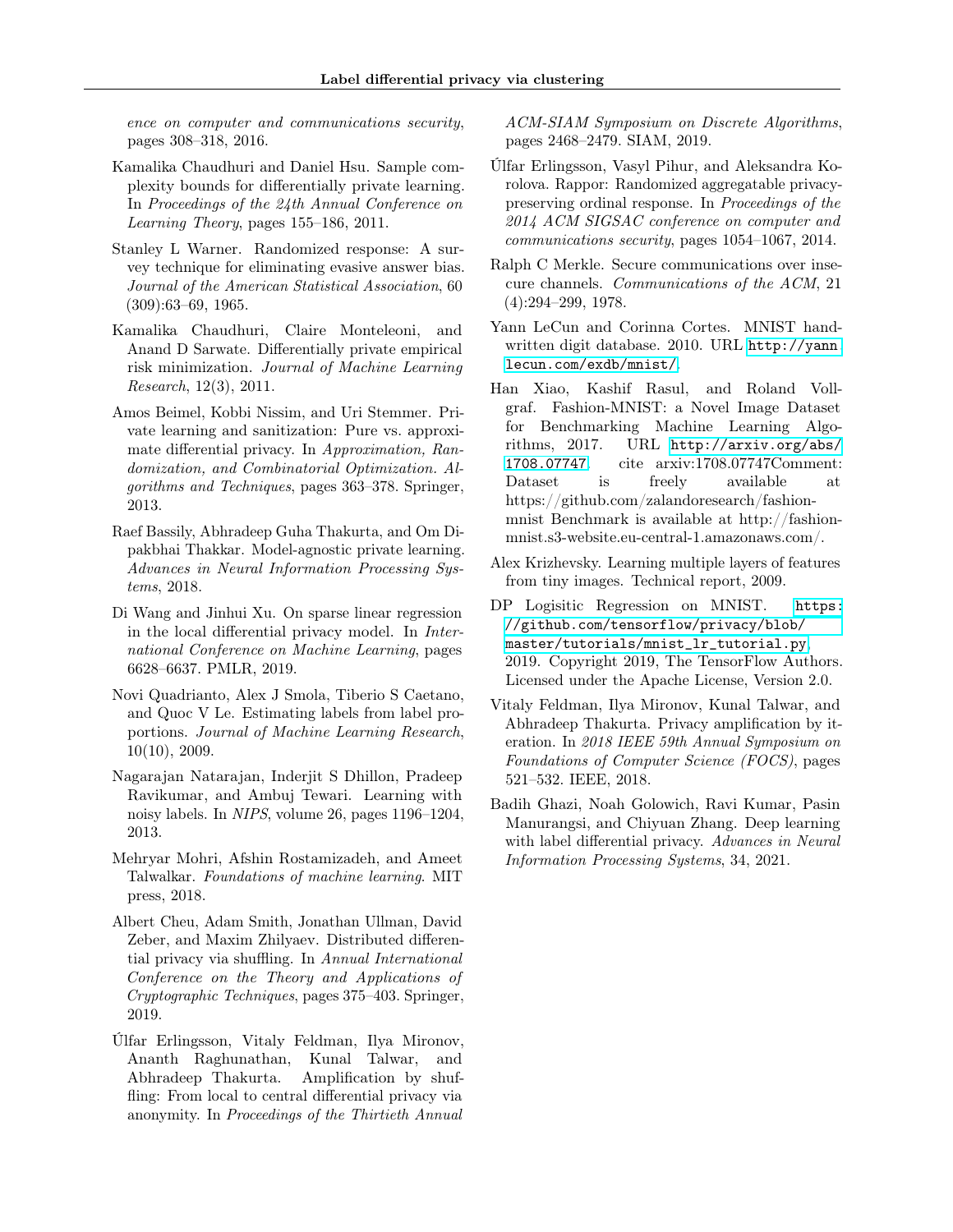ence on computer and communications security, pages 308–318, 2016.

- <span id="page-9-0"></span>Kamalika Chaudhuri and Daniel Hsu. Sample complexity bounds for differentially private learning. In Proceedings of the 24th Annual Conference on Learning Theory, pages 155–186, 2011.
- <span id="page-9-1"></span>Stanley L Warner. Randomized response: A survey technique for eliminating evasive answer bias. Journal of the American Statistical Association, 60 (309):63–69, 1965.
- <span id="page-9-2"></span>Kamalika Chaudhuri, Claire Monteleoni, and Anand D Sarwate. Differentially private empirical risk minimization. Journal of Machine Learning Research, 12(3), 2011.
- <span id="page-9-3"></span>Amos Beimel, Kobbi Nissim, and Uri Stemmer. Private learning and sanitization: Pure vs. approximate differential privacy. In Approximation, Randomization, and Combinatorial Optimization. Algorithms and Techniques, pages 363–378. Springer, 2013.
- <span id="page-9-4"></span>Raef Bassily, Abhradeep Guha Thakurta, and Om Dipakbhai Thakkar. Model-agnostic private learning. Advances in Neural Information Processing Systems, 2018.
- <span id="page-9-5"></span>Di Wang and Jinhui Xu. On sparse linear regression in the local differential privacy model. In International Conference on Machine Learning, pages 6628–6637. PMLR, 2019.
- <span id="page-9-6"></span>Novi Quadrianto, Alex J Smola, Tiberio S Caetano, and Quoc V Le. Estimating labels from label proportions. Journal of Machine Learning Research, 10(10), 2009.
- <span id="page-9-7"></span>Nagarajan Natarajan, Inderjit S Dhillon, Pradeep Ravikumar, and Ambuj Tewari. Learning with noisy labels. In NIPS, volume 26, pages 1196–1204, 2013.
- <span id="page-9-8"></span>Mehryar Mohri, Afshin Rostamizadeh, and Ameet Talwalkar. Foundations of machine learning. MIT press, 2018.
- <span id="page-9-9"></span>Albert Cheu, Adam Smith, Jonathan Ullman, David Zeber, and Maxim Zhilyaev. Distributed differential privacy via shuffling. In Annual International Conference on the Theory and Applications of Cryptographic Techniques, pages 375–403. Springer, 2019.
- <span id="page-9-10"></span>Úlfar Erlingsson, Vitaly Feldman, Ilya Mironov, Ananth Raghunathan, Kunal Talwar, and Abhradeep Thakurta. Amplification by shuffling: From local to central differential privacy via anonymity. In Proceedings of the Thirtieth Annual

ACM-SIAM Symposium on Discrete Algorithms, pages 2468–2479. SIAM, 2019.

- <span id="page-9-11"></span>Úlfar Erlingsson, Vasyl Pihur, and Aleksandra Korolova. Rappor: Randomized aggregatable privacypreserving ordinal response. In Proceedings of the 2014 ACM SIGSAC conference on computer and communications security, pages 1054–1067, 2014.
- <span id="page-9-12"></span>Ralph C Merkle. Secure communications over insecure channels. Communications of the ACM, 21 (4):294–299, 1978.
- <span id="page-9-13"></span>Yann LeCun and Corinna Cortes. MNIST handwritten digit database. 2010. URL [http://yann.](http://yann.lecun.com/exdb/mnist/) [lecun.com/exdb/mnist/](http://yann.lecun.com/exdb/mnist/).
- <span id="page-9-14"></span>Han Xiao, Kashif Rasul, and Roland Vollgraf. Fashion-MNIST: a Novel Image Dataset for Benchmarking Machine Learning Algorithms, 2017. URL [http://arxiv.org/abs/](http://arxiv.org/abs/1708.07747) [1708.07747](http://arxiv.org/abs/1708.07747). cite arxiv:1708.07747Comment: Dataset is freely available at https://github.com/zalandoresearch/fashionmnist Benchmark is available at http://fashionmnist.s3-website.eu-central-1.amazonaws.com/.
- <span id="page-9-15"></span>Alex Krizhevsky. Learning multiple layers of features from tiny images. Technical report, 2009.
- <span id="page-9-16"></span>DP Logisitic Regression on MNIST. [https:](https://github.com/tensorflow/privacy/blob/master/tutorials/mnist_lr_tutorial.py) [//github.com/tensorflow/privacy/blob/](https://github.com/tensorflow/privacy/blob/master/tutorials/mnist_lr_tutorial.py) [master/tutorials/mnist\\_lr\\_tutorial.py](https://github.com/tensorflow/privacy/blob/master/tutorials/mnist_lr_tutorial.py), 2019. Copyright 2019, The TensorFlow Authors. Licensed under the Apache License, Version 2.0.
- <span id="page-9-17"></span>Vitaly Feldman, Ilya Mironov, Kunal Talwar, and Abhradeep Thakurta. Privacy amplification by iteration. In 2018 IEEE 59th Annual Symposium on Foundations of Computer Science (FOCS), pages 521–532. IEEE, 2018.
- <span id="page-9-18"></span>Badih Ghazi, Noah Golowich, Ravi Kumar, Pasin Manurangsi, and Chiyuan Zhang. Deep learning with label differential privacy. Advances in Neural Information Processing Systems, 34, 2021.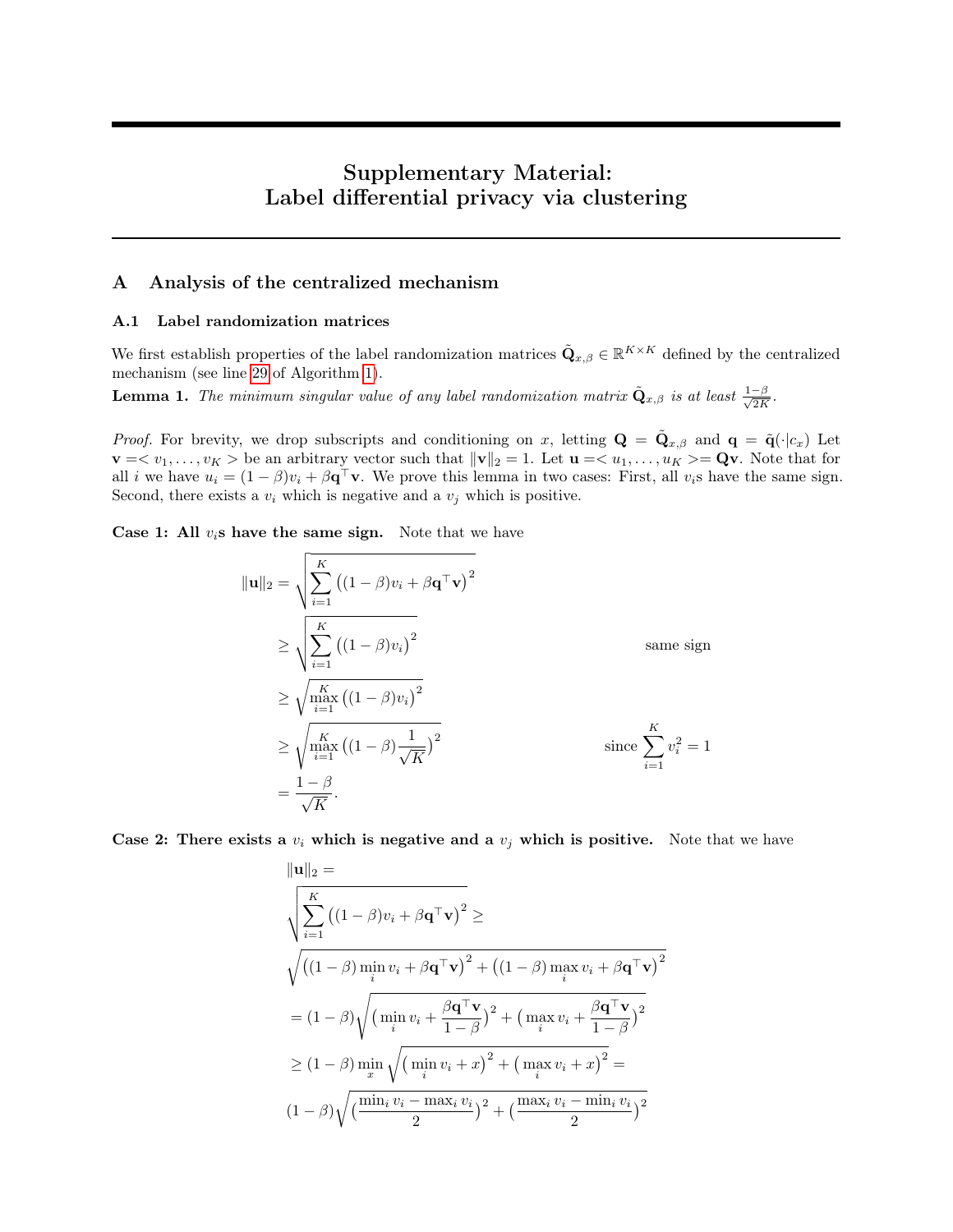# Supplementary Material: Label differential privacy via clustering

# A Analysis of the centralized mechanism

#### A.1 Label randomization matrices

We first establish properties of the label randomization matrices  $\tilde{\mathbf{Q}}_{x,\beta} \in \mathbb{R}^{K \times K}$  defined by the centralized mechanism (see line [29](#page-3-0) of Algorithm [1\)](#page-3-0).

<span id="page-10-0"></span>**Lemma 1.** The minimum singular value of any label randomization matrix  $\tilde{\bf Q}_{x,\beta}$  is at least  $\frac{1-\beta}{\sqrt{2K}}$  $\frac{-\beta}{2K}$ .

*Proof.* For brevity, we drop subscripts and conditioning on x, letting  $\mathbf{Q} = \tilde{\mathbf{Q}}_{x,\beta}$  and  $\mathbf{q} = \tilde{\mathbf{q}}(\cdot|c_x)$  Let  $\mathbf{v} = \langle v_1, \ldots, v_K \rangle$  be an arbitrary vector such that  $\|\mathbf{v}\|_2 = 1$ . Let  $\mathbf{u} = \langle u_1, \ldots, u_K \rangle = \mathbf{Q}\mathbf{v}$ . Note that for all *i* we have  $u_i = (1 - \beta)v_i + \beta \mathbf{q}^\top \mathbf{v}$ . We prove this lemma in two cases: First, all  $v_i$ s have the same sign. Second, there exists a  $v_i$  which is negative and a  $v_j$  which is positive.

**Case 1: All**  $v_i$ **s have the same sign.** Note that we have

$$
\|\mathbf{u}\|_{2} = \sqrt{\sum_{i=1}^{K} ((1-\beta)v_{i} + \beta \mathbf{q}^{\top}\mathbf{v})^{2}}
$$
  
\n
$$
\geq \sqrt{\sum_{i=1}^{K} ((1-\beta)v_{i})^{2}}
$$
 same sign  
\n
$$
\geq \sqrt{\max_{i=1}^{K} ((1-\beta)v_{i})^{2}}
$$
  
\n
$$
\geq \sqrt{\max_{i=1}^{K} ((1-\beta)\frac{1}{\sqrt{K}})^{2}}
$$
 since  $\sum_{i=1}^{K} v_{i}^{2} = 1$   
\n
$$
= \frac{1-\beta}{\sqrt{K}}.
$$

Case 2: There exists a  $v_i$  which is negative and a  $v_j$  which is positive. Note that we have

$$
\|\mathbf{u}\|_{2} = \sqrt{\sum_{i=1}^{K} ((1-\beta)v_{i} + \beta \mathbf{q}^{\top}\mathbf{v})^{2}} \geq
$$
  

$$
\sqrt{((1-\beta)\min_{i} v_{i} + \beta \mathbf{q}^{\top}\mathbf{v})^{2} + ((1-\beta)\max_{i} v_{i} + \beta \mathbf{q}^{\top}\mathbf{v})^{2}}
$$
  

$$
= (1-\beta)\sqrt{(\min_{i} v_{i} + \frac{\beta \mathbf{q}^{\top}\mathbf{v}}{1-\beta})^{2} + (\max_{i} v_{i} + \frac{\beta \mathbf{q}^{\top}\mathbf{v}}{1-\beta})^{2}}
$$
  

$$
\geq (1-\beta)\min_{x} \sqrt{(\min_{i} v_{i} + x)^{2} + (\max_{i} v_{i} + x)^{2}}
$$
  

$$
(1-\beta)\sqrt{(\frac{\min_{i} v_{i} - \max_{i} v_{i}}{2})^{2} + (\frac{\max_{i} v_{i} - \min_{i} v_{i}}{2})^{2}}
$$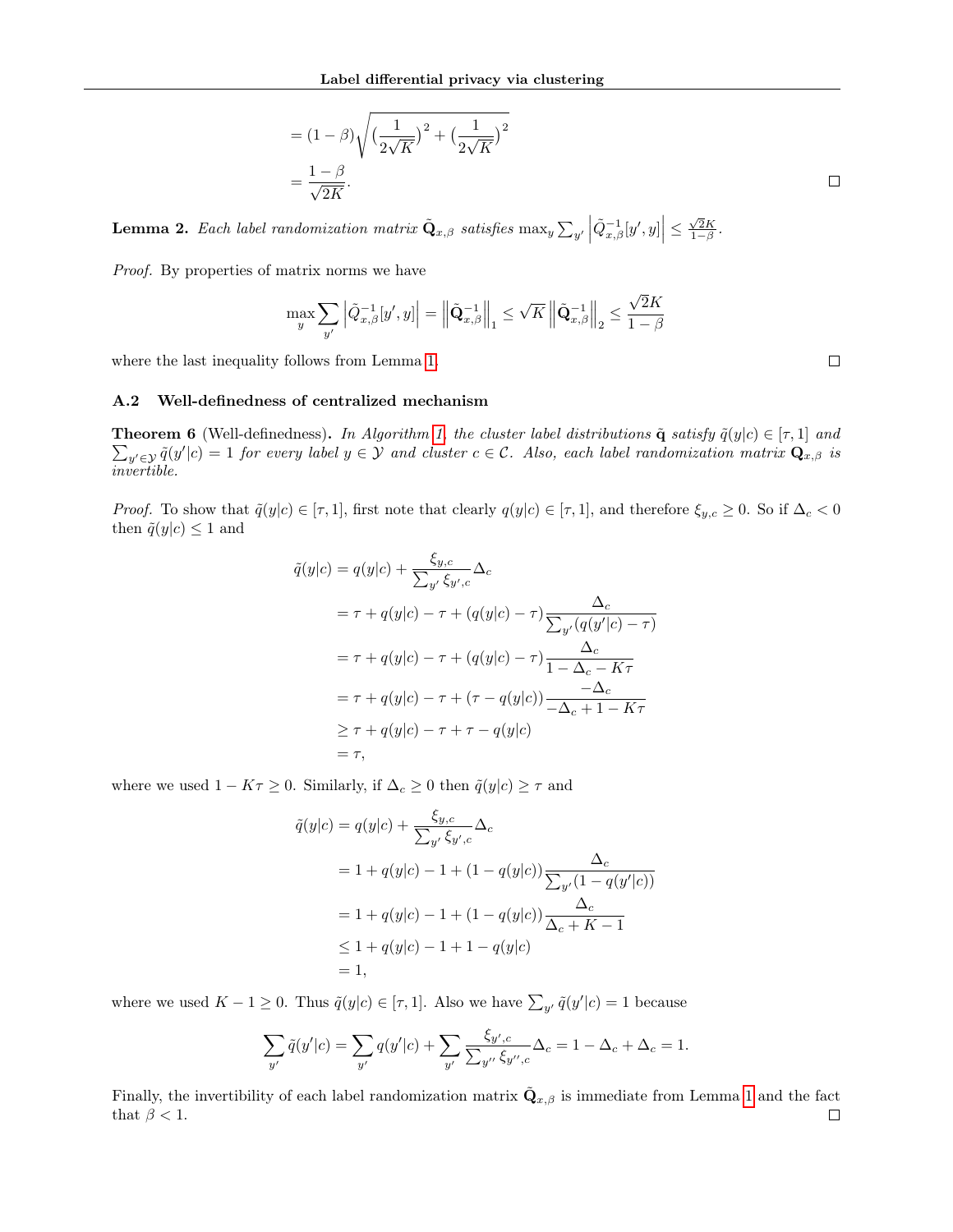$$
= (1 - \beta) \sqrt{\left(\frac{1}{2\sqrt{K}}\right)^2 + \left(\frac{1}{2\sqrt{K}}\right)^2}
$$

$$
= \frac{1 - \beta}{\sqrt{2K}}.
$$

√

<span id="page-11-0"></span>**Lemma 2.** Each label randomization matrix  $\tilde{\mathbf{Q}}_{x,\beta}$  satisfies  $\max_y \sum_{y'} \left| \tilde{Q}_{x,\beta}^{-1}[y',y] \right| \leq \frac{\sqrt{2}K}{1-\beta}$ .

Proof. By properties of matrix norms we have

$$
\max_{y} \sum_{y'} \left| \tilde{Q}_{x,\beta}^{-1}[y',y] \right| = \left\| \tilde{\mathbf{Q}}_{x,\beta}^{-1} \right\|_1 \le \sqrt{K} \left\| \tilde{\mathbf{Q}}_{x,\beta}^{-1} \right\|_2 \le \frac{\sqrt{2}K}{1-\beta}
$$

where the last inequality follows from Lemma [1.](#page-10-0)

#### A.2 Well-definedness of centralized mechanism

**Theorem 6** (Well-definedness). In Algorithm [1,](#page-3-0) the cluster label distributions  $\tilde{\mathbf{q}}$  satisfy  $\tilde{q}(y|c) \in [\tau,1]$  and  $\sum_{y'\in\mathcal{Y}} \tilde{q}(y'|c) = 1$  for every label  $y \in \mathcal{Y}$  and cluster  $c \in \mathcal{C}$ . Also, each label randomization matrix  $\mathbf{Q}_{x,\beta}$  is invertible.

*Proof.* To show that  $\tilde{q}(y|c) \in [\tau,1]$ , first note that clearly  $q(y|c) \in [\tau,1]$ , and therefore  $\xi_{y,c} \geq 0$ . So if  $\Delta_c < 0$ then  $\tilde{q}(y|c) \leq 1$  and

$$
\tilde{q}(y|c) = q(y|c) + \frac{\xi_{y,c}}{\sum_{y'} \xi_{y',c}} \Delta_c
$$
\n
$$
= \tau + q(y|c) - \tau + (q(y|c) - \tau) \frac{\Delta_c}{\sum_{y'} (q(y'|c) - \tau)}
$$
\n
$$
= \tau + q(y|c) - \tau + (q(y|c) - \tau) \frac{\Delta_c}{1 - \Delta_c - K\tau}
$$
\n
$$
= \tau + q(y|c) - \tau + (\tau - q(y|c)) \frac{-\Delta_c}{-\Delta_c + 1 - K\tau}
$$
\n
$$
\geq \tau + q(y|c) - \tau + \tau - q(y|c)
$$
\n
$$
= \tau,
$$

where we used  $1 - K\tau \geq 0$ . Similarly, if  $\Delta_c \geq 0$  then  $\tilde{q}(y|c) \geq \tau$  and

$$
\tilde{q}(y|c) = q(y|c) + \frac{\xi_{y,c}}{\sum_{y'} \xi_{y',c}} \Delta_c
$$
\n
$$
= 1 + q(y|c) - 1 + (1 - q(y|c)) \frac{\Delta_c}{\sum_{y'} (1 - q(y'|c))}
$$
\n
$$
= 1 + q(y|c) - 1 + (1 - q(y|c)) \frac{\Delta_c}{\Delta_c + K - 1}
$$
\n
$$
\leq 1 + q(y|c) - 1 + 1 - q(y|c)
$$
\n
$$
= 1,
$$

where we used  $K - 1 \geq 0$ . Thus  $\tilde{q}(y|c) \in [\tau, 1]$ . Also we have  $\sum_{y'} \tilde{q}(y'|c) = 1$  because

$$
\sum_{y'} \tilde{q}(y'|c) = \sum_{y'} q(y'|c) + \sum_{y'} \frac{\xi_{y',c}}{\sum_{y''} \xi_{y'',c}} \Delta_c = 1 - \Delta_c + \Delta_c = 1.
$$

Finally, the invertibility of each label randomization matrix  $\tilde{\bf Q}_{x,\beta}$  is immediate from Lemma [1](#page-10-0) and the fact that  $\beta < 1$ .  $\Box$ 

 $\Box$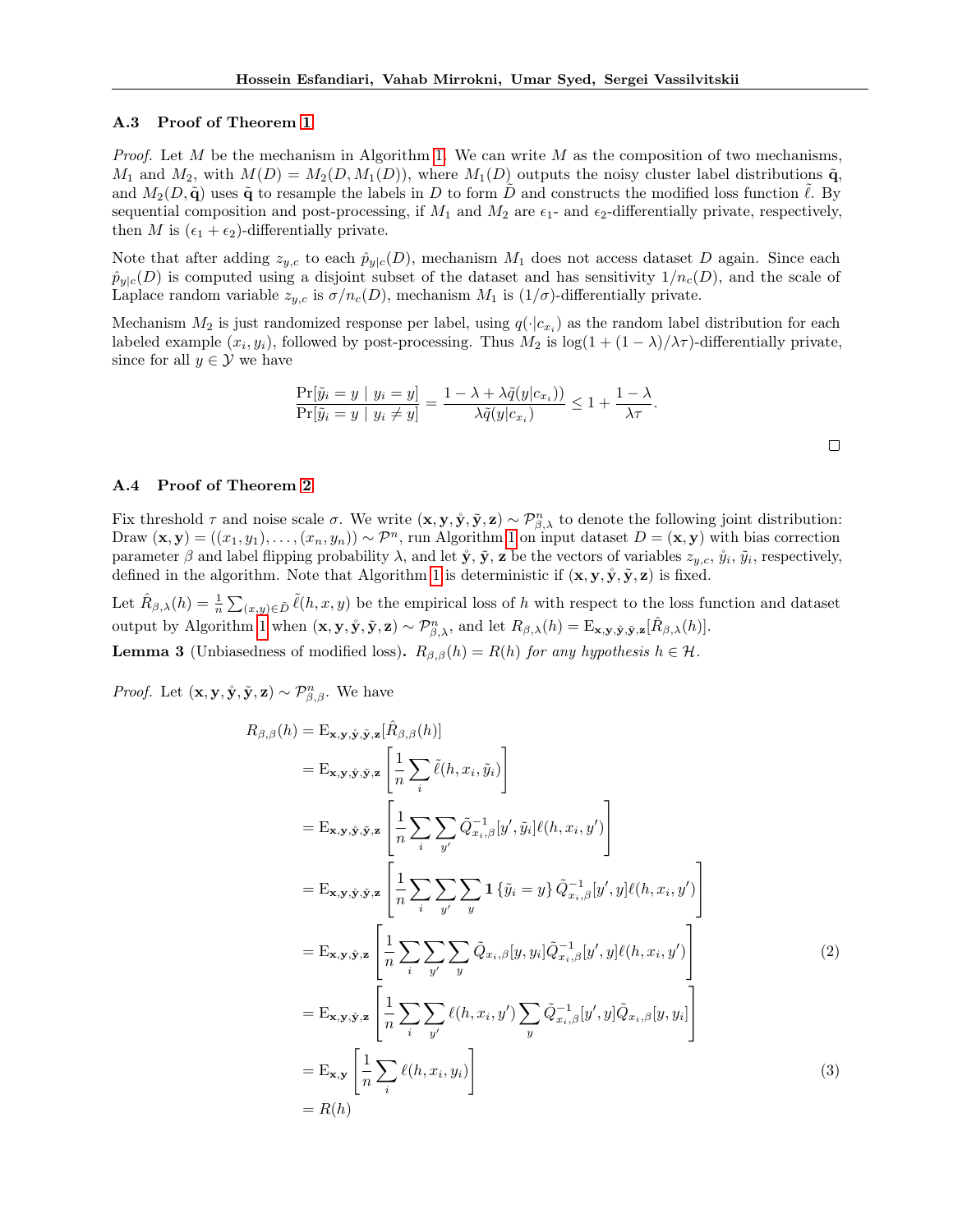#### A.3 Proof of Theorem [1](#page-3-2)

*Proof.* Let M be the mechanism in Algorithm [1.](#page-3-0) We can write M as the composition of two mechanisms,  $M_1$  and  $M_2$ , with  $M(D) = M_2(D, M_1(D))$ , where  $M_1(D)$  outputs the noisy cluster label distributions  $\tilde{q}$ , and  $M_2(D, \tilde{\mathbf{q}})$  uses  $\tilde{\mathbf{q}}$  to resample the labels in D to form D and constructs the modified loss function  $\ell$ . By sequential composition and post-processing, if  $M_1$  and  $M_2$  are  $\epsilon_1$ - and  $\epsilon_2$ -differentially private, respectively, then M is  $(\epsilon_1 + \epsilon_2)$ -differentially private.

Note that after adding  $z_{y,c}$  to each  $\hat{p}_{y|c}(D)$ , mechanism  $M_1$  does not access dataset D again. Since each  $\hat{p}_{y|c}(D)$  is computed using a disjoint subset of the dataset and has sensitivity  $1/n_c(D)$ , and the scale of Laplace random variable  $z_{y,c}$  is  $\sigma/n_c(D)$ , mechanism  $M_1$  is  $(1/\sigma)$ -differentially private.

Mechanism  $M_2$  is just randomized response per label, using  $q(\cdot|c_{x_i})$  as the random label distribution for each labeled example  $(x_i, y_i)$ , followed by post-processing. Thus  $M_2$  is  $\log(1 + (1 - \lambda)/\lambda \tau)$ -differentially private, since for all  $y \in \mathcal{Y}$  we have

$$
\frac{\Pr[\tilde{y}_i = y \mid y_i = y]}{\Pr[\tilde{y}_i = y \mid y_i \neq y]} = \frac{1 - \lambda + \lambda \tilde{q}(y|c_{x_i}))}{\lambda \tilde{q}(y|c_{x_i})} \leq 1 + \frac{1 - \lambda}{\lambda \tau}.
$$

#### A.4 Proof of Theorem [2](#page-3-3)

Fix threshold  $\tau$  and noise scale  $\sigma$ . We write  $(\mathbf{x}, \mathbf{y}, \mathbf{y}, \tilde{\mathbf{y}}, \mathbf{z}) \sim \mathcal{P}_{\beta, \lambda}^n$  to denote the following joint distribution: Draw  $(\mathbf{x}, \mathbf{y}) = ((x_1, y_1), \dots, (x_n, y_n)) \sim \mathcal{P}^n$ , run Algorithm [1](#page-3-0) on input dataset  $D = (\mathbf{x}, \mathbf{y})$  with bias correction parameter  $\beta$  and label flipping probability  $\lambda$ , and let  $\mathbf{\dot{y}}, \mathbf{\tilde{y}}, \mathbf{z}$  be the vectors of variables  $z_{y,c}, \mathbf{\tilde{y}}_i, \mathbf{\tilde{y}}_i$ , respectively, defined in the algorithm. Note that Algorithm [1](#page-3-0) is deterministic if  $(x, y, \hat{y}, \tilde{y}, z)$  is fixed.

Let  $\hat{R}_{\beta,\lambda}(h) = \frac{1}{n} \sum_{(x,y) \in \tilde{D}} \tilde{\ell}(h, x, y)$  be the empirical loss of h with respect to the loss function and dataset output by Algorithm [1](#page-3-0) when  $(\mathbf{x}, \mathbf{y}, \mathbf{\hat{y}}, \mathbf{\tilde{y}}, \mathbf{z}) \sim \mathcal{P}_{\beta, \lambda}^n$ , and let  $R_{\beta, \lambda}(h) = \mathrm{E}_{\mathbf{x}, \mathbf{y}, \mathbf{\hat{y}}, \mathbf{\tilde{y}}, \mathbf{z}}[\hat{R}_{\beta, \lambda}(h)].$ 

**Lemma 3** (Unbiasedness of modified loss).  $R_{\beta,\beta}(h) = R(h)$  for any hypothesis  $h \in \mathcal{H}$ .

*Proof.* Let  $(\mathbf{x}, \mathbf{y}, \mathbf{\hat{y}}, \mathbf{\tilde{y}}, \mathbf{z}) \sim \mathcal{P}_{\beta, \beta}^n$ . We have

$$
R_{\beta,\beta}(h) = \mathbf{E}_{\mathbf{x},\mathbf{y},\tilde{\mathbf{y}},\tilde{\mathbf{y}},\mathbf{z}} \left[ \frac{1}{n} \sum_{i} \tilde{\ell}(h, x_i, \tilde{y}_i) \right]
$$
  
\n
$$
= \mathbf{E}_{\mathbf{x},\mathbf{y},\tilde{\mathbf{y}},\tilde{\mathbf{y}},\mathbf{z}} \left[ \frac{1}{n} \sum_{i} \tilde{\ell}(h, x_i, \tilde{y}_i) \right]
$$
  
\n
$$
= \mathbf{E}_{\mathbf{x},\mathbf{y},\tilde{\mathbf{y}},\tilde{\mathbf{y}},\mathbf{z}} \left[ \frac{1}{n} \sum_{i} \sum_{y'} \tilde{Q}_{x_i,\beta}^{-1} [y', \tilde{y}_i] \ell(h, x_i, y') \right]
$$
  
\n
$$
= \mathbf{E}_{\mathbf{x},\mathbf{y},\tilde{\mathbf{y}},\tilde{\mathbf{y}},\mathbf{z}} \left[ \frac{1}{n} \sum_{i} \sum_{y'} \sum_{y} \mathbf{1} \{ \tilde{y}_i = y \} \tilde{Q}_{x_i,\beta}^{-1} [y', y] \ell(h, x_i, y') \right]
$$
  
\n
$$
= \mathbf{E}_{\mathbf{x},\mathbf{y},\tilde{\mathbf{y}},\mathbf{z}} \left[ \frac{1}{n} \sum_{i} \sum_{y'} \sum_{y} \tilde{Q}_{x_i,\beta} [y, y_i] \tilde{Q}_{x_i,\beta}^{-1} [y', y] \ell(h, x_i, y') \right]
$$
  
\n
$$
= \mathbf{E}_{\mathbf{x},\mathbf{y},\tilde{\mathbf{y}},\mathbf{z}} \left[ \frac{1}{n} \sum_{i} \sum_{y'} \ell(h, x_i, y') \sum_{y} \tilde{Q}_{x_i,\beta}^{-1} [y', y] \tilde{Q}_{x_i,\beta} [y, y_i] \right]
$$
  
\n
$$
= \mathbf{E}_{\mathbf{x},\mathbf{y}} \left[ \frac{1}{n} \sum_{i} \ell(h, x_i, y_i) \right]
$$
  
\n
$$
= R(h)
$$
  
\n(3)

<span id="page-12-1"></span><span id="page-12-0"></span> $\Box$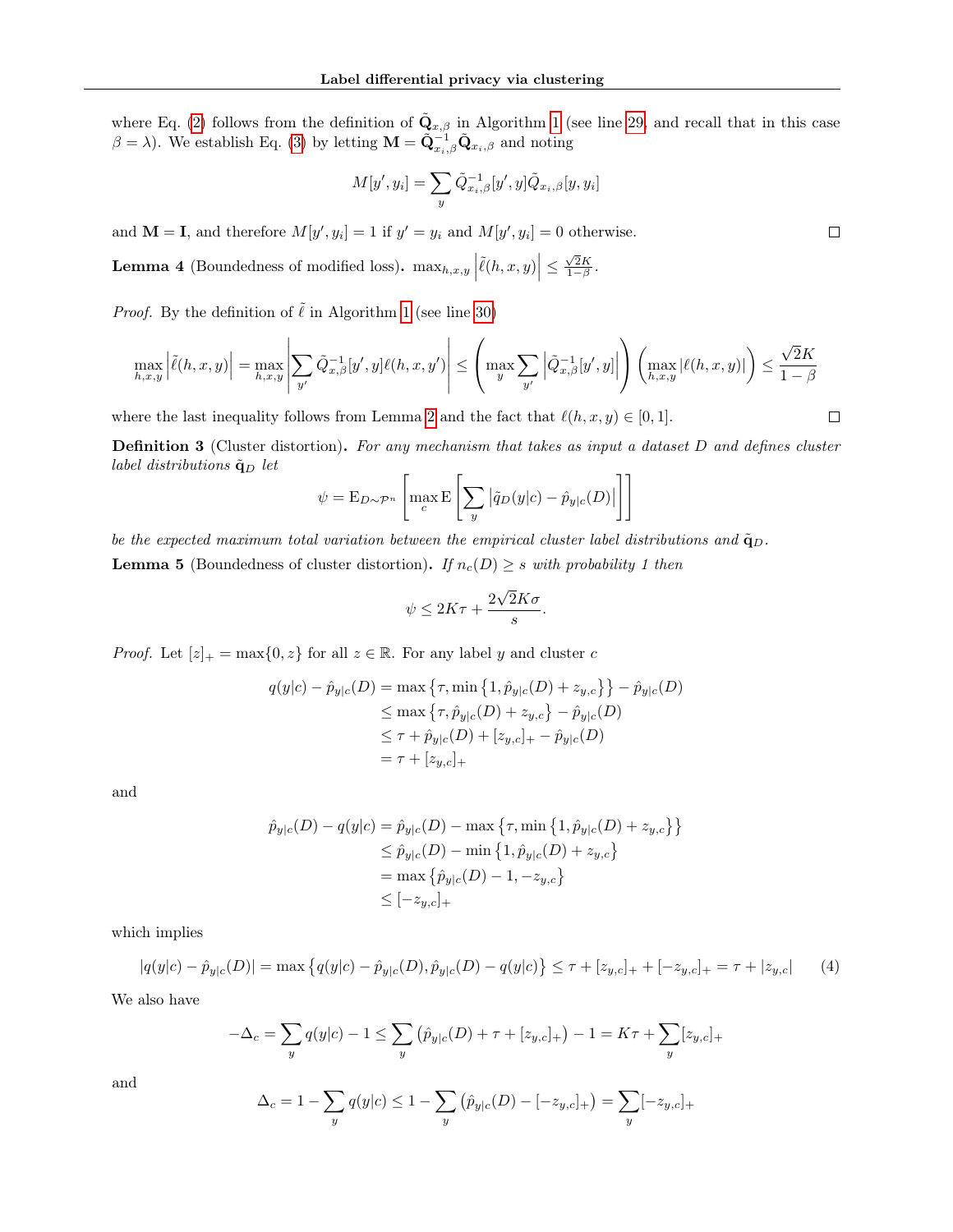where Eq. [\(2\)](#page-12-0) follows from the definition of  $\tilde{\mathbf{Q}}_{x,\beta}$  in Algorithm [1](#page-3-0) (see line [29,](#page-3-0) and recall that in this case  $\beta = \lambda$ ). We establish Eq. [\(3\)](#page-12-1) by letting  $\mathbf{M} = \tilde{\mathbf{Q}}_{x_i,\beta}^{-1} \tilde{\mathbf{Q}}_{x_i,\beta}$  and noting

$$
M[y', y_i] = \sum_{y} \tilde{Q}_{x_i, \beta}^{-1}[y', y] \tilde{Q}_{x_i, \beta}[y, y_i]
$$

and  $\mathbf{M} = \mathbf{I}$ , and therefore  $M[y', y_i] = 1$  if  $y' = y_i$  and  $M[y', y_i] = 0$  otherwise.

<span id="page-13-2"></span>**Lemma 4** (Boundedness of modified loss).  $\max_{h,x,y} \left| \tilde{\ell}(h,x,y) \right| \leq \frac{\sqrt{2}K}{1-\beta}$ .

*Proof.* By the definition of  $\tilde{\ell}$  in Algorithm [1](#page-3-0) (see line [30\)](#page-3-0)

$$
\max_{h,x,y} \left| \tilde{\ell}(h,x,y) \right| = \max_{h,x,y} \left| \sum_{y'} \tilde{Q}_{x,\beta}^{-1}[y',y] \ell(h,x,y') \right| \leq \left( \max_{y} \sum_{y'} \left| \tilde{Q}_{x,\beta}^{-1}[y',y] \right| \right) \left( \max_{h,x,y} |\ell(h,x,y)| \right) \leq \frac{\sqrt{2}K}{1-\beta}
$$

where the last inequality follows from Lemma [2](#page-11-0) and the fact that  $\ell(h, x, y) \in [0, 1].$ 

<span id="page-13-1"></span>**Definition 3** (Cluster distortion). For any mechanism that takes as input a dataset D and defines cluster label distributions  $\tilde{\mathbf{q}}_D$  let

$$
\psi = \mathcal{E}_{D \sim \mathcal{P}^n} \left[ \max_c \mathcal{E} \left[ \sum_y |\tilde{q}_D(y|c) - \hat{p}_{y|c}(D)| \right] \right]
$$

<span id="page-13-3"></span>be the expected maximum total variation between the empirical cluster label distributions and  $\tilde{q}_D$ . **Lemma 5** (Boundedness of cluster distortion). If  $n_c(D) \geq s$  with probability 1 then

$$
\psi \le 2K\tau + \frac{2\sqrt{2}K\sigma}{s}.
$$

*Proof.* Let  $[z]_+ = \max\{0, z\}$  for all  $z \in \mathbb{R}$ . For any label y and cluster c

$$
q(y|c) - \hat{p}_{y|c}(D) = \max \{ \tau, \min \{ 1, \hat{p}_{y|c}(D) + z_{y,c} \} \} - \hat{p}_{y|c}(D)
$$
  
\n
$$
\leq \max \{ \tau, \hat{p}_{y|c}(D) + z_{y,c} \} - \hat{p}_{y|c}(D)
$$
  
\n
$$
\leq \tau + \hat{p}_{y|c}(D) + [z_{y,c}]_+ - \hat{p}_{y|c}(D)
$$
  
\n
$$
= \tau + [z_{y,c}]_+
$$

and

$$
\hat{p}_{y|c}(D) - q(y|c) = \hat{p}_{y|c}(D) - \max\{\tau, \min\{1, \hat{p}_{y|c}(D) + z_{y,c}\}\}\
$$
  
\n
$$
\leq \hat{p}_{y|c}(D) - \min\{1, \hat{p}_{y|c}(D) + z_{y,c}\}\
$$
  
\n
$$
= \max\{\hat{p}_{y|c}(D) - 1, -z_{y,c}\}\
$$
  
\n
$$
\leq [-z_{y,c}]_{+}
$$

which implies

<span id="page-13-0"></span>
$$
|q(y|c) - \hat{p}_{y|c}(D)| = \max \left\{ q(y|c) - \hat{p}_{y|c}(D), \hat{p}_{y|c}(D) - q(y|c) \right\} \le \tau + [z_{y,c}]_+ + [-z_{y,c}]_+ = \tau + |z_{y,c}| \tag{4}
$$

We also have

$$
-\Delta_c = \sum_{y} q(y|c) - 1 \le \sum_{y} (\hat{p}_{y|c}(D) + \tau + [z_{y,c}]_+) - 1 = K\tau + \sum_{y} [z_{y,c}]_+
$$

and

$$
\Delta_c = 1 - \sum_{y} q(y|c) \le 1 - \sum_{y} (\hat{p}_{y|c}(D) - [-z_{y,c}]_+) = \sum_{y} [-z_{y,c}]_+
$$

 $\Box$ 

 $\Box$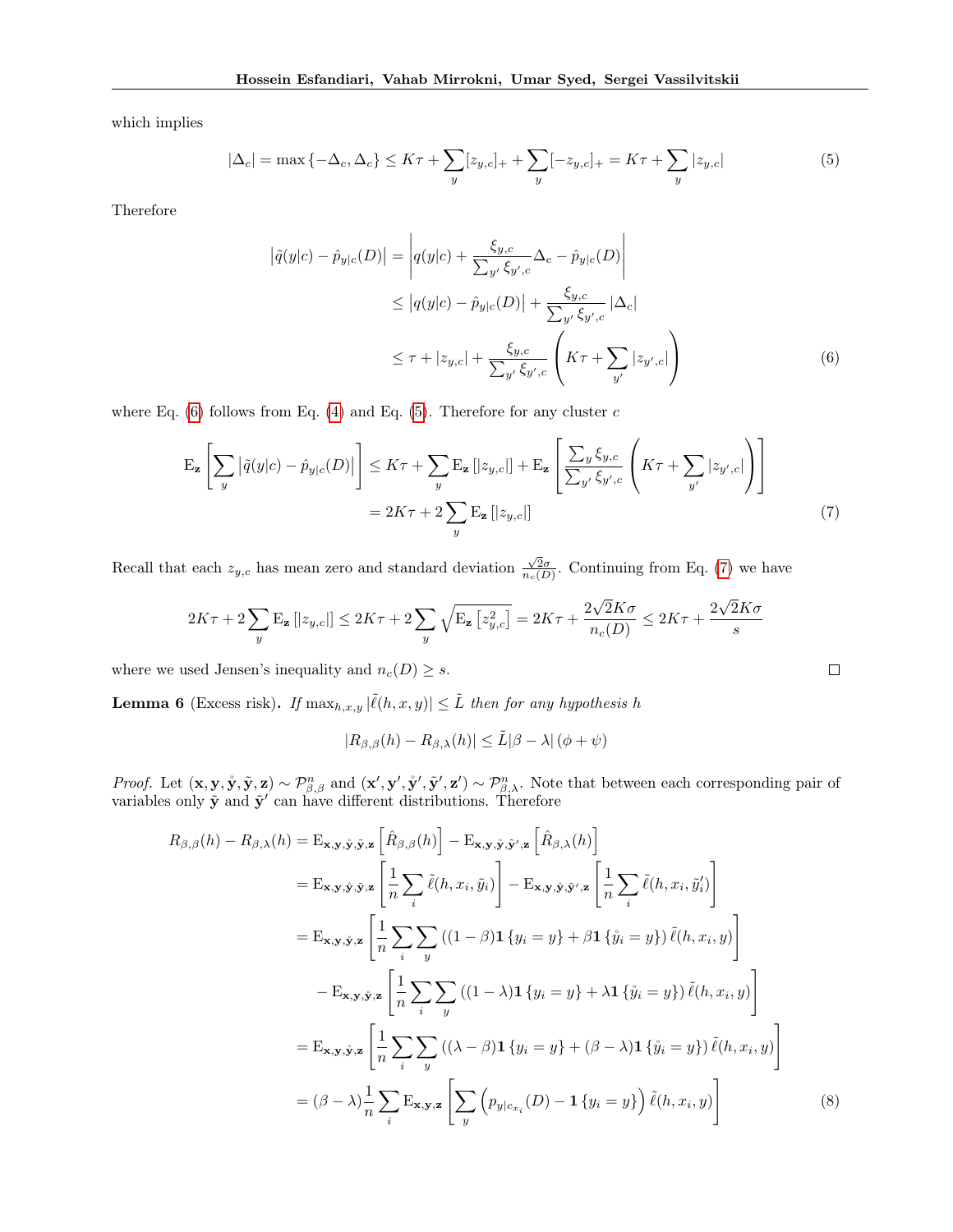which implies

<span id="page-14-1"></span>
$$
|\Delta_c| = \max\{-\Delta_c, \Delta_c\} \le K\tau + \sum_y [z_{y,c}]_+ + \sum_y [-z_{y,c}]_+ = K\tau + \sum_y |z_{y,c}| \tag{5}
$$

Therefore

$$
\left| \tilde{q}(y|c) - \hat{p}_{y|c}(D) \right| = \left| q(y|c) + \frac{\xi_{y,c}}{\sum_{y'} \xi_{y',c}} \Delta_c - \hat{p}_{y|c}(D) \right|
$$
  
\n
$$
\leq \left| q(y|c) - \hat{p}_{y|c}(D) \right| + \frac{\xi_{y,c}}{\sum_{y'} \xi_{y',c}} \left| \Delta_c \right|
$$
  
\n
$$
\leq \tau + |z_{y,c}| + \frac{\xi_{y,c}}{\sum_{y'} \xi_{y',c}} \left( K\tau + \sum_{y'} |z_{y',c}| \right)
$$
 (6)

where Eq.  $(6)$  follows from Eq.  $(4)$  and Eq.  $(5)$ . Therefore for any cluster c

$$
\mathcal{E}_{\mathbf{z}}\left[\sum_{y} \left|\tilde{q}(y|c) - \hat{p}_{y|c}(D)\right|\right] \leq K\tau + \sum_{y} \mathcal{E}_{\mathbf{z}}\left[|z_{y,c}|\right] + \mathcal{E}_{\mathbf{z}}\left[\frac{\sum_{y} \xi_{y,c}}{\sum_{y'} \xi_{y',c}} \left(K\tau + \sum_{y'} |z_{y',c}|\right)\right]
$$
\n
$$
= 2K\tau + 2\sum_{y} \mathcal{E}_{\mathbf{z}}\left[|z_{y,c}|\right] \tag{7}
$$

Recall that each  $z_{y,c}$  has mean zero and standard deviation  $\frac{\sqrt{2}\sigma}{n_c(D)}$ . Continuing from Eq. [\(7\)](#page-14-2) we have

$$
2K\tau+2\sum_y\mathrm{E_z}\left[|z_{y,c}|\right]\leq 2K\tau+2\sum_y\sqrt{\mathrm{E_z}\left[z_{y,c}^2\right]}=2K\tau+\frac{2\sqrt{2}K\sigma}{n_c(D)}\leq 2K\tau+\frac{2\sqrt{2}K\sigma}{s}
$$

where we used Jensen's inequality and  $n_c(D) \geq s$ .

<span id="page-14-4"></span>**Lemma 6** (Excess risk). If  $\max_{h,x,y} |\tilde{\ell}(h,x,y)| \leq \tilde{L}$  then for any hypothesis h

$$
|R_{\beta,\beta}(h) - R_{\beta,\lambda}(h)| \leq \tilde{L}|\beta - \lambda| \left(\phi + \psi\right)
$$

*Proof.* Let  $(\mathbf{x}, \mathbf{y}, \mathbf{\hat{y}}, \mathbf{\tilde{y}}, \mathbf{z}) \sim \mathcal{P}_{\beta, \beta}^n$  and  $(\mathbf{x}', \mathbf{y}', \mathbf{\tilde{y}}', \mathbf{\tilde{y}}', \mathbf{z}') \sim \mathcal{P}_{\beta, \lambda}^n$ . Note that between each corresponding pair of variables only  $\tilde{\mathbf{y}}$  and  $\tilde{\mathbf{y}}'$  can have different distributions. Therefore

$$
R_{\beta,\beta}(h) - R_{\beta,\lambda}(h) = \mathbf{E}_{\mathbf{x},\mathbf{y},\mathbf{\hat{y}},\mathbf{z}} \left[ \hat{R}_{\beta,\beta}(h) \right] - \mathbf{E}_{\mathbf{x},\mathbf{y},\mathbf{\hat{y}},\mathbf{z}'} \left[ \hat{R}_{\beta,\lambda}(h) \right]
$$
  
\n
$$
= \mathbf{E}_{\mathbf{x},\mathbf{y},\mathbf{\hat{y}},\mathbf{\hat{y}},\mathbf{z}} \left[ \frac{1}{n} \sum_{i} \tilde{\ell}(h,x_{i},\tilde{y}_{i}) \right] - \mathbf{E}_{\mathbf{x},\mathbf{y},\mathbf{\hat{y}},\mathbf{\hat{y}}',\mathbf{z}} \left[ \frac{1}{n} \sum_{i} \tilde{\ell}(h,x_{i},\tilde{y}_{i}') \right]
$$
  
\n
$$
= \mathbf{E}_{\mathbf{x},\mathbf{y},\mathbf{\hat{y}},\mathbf{z}} \left[ \frac{1}{n} \sum_{i} \sum_{y} \left( (1-\beta) \mathbf{1} \{ y_{i} = y \} + \beta \mathbf{1} \{ \hat{y}_{i} = y \} \right) \tilde{\ell}(h,x_{i},y) \right]
$$
  
\n
$$
- \mathbf{E}_{\mathbf{x},\mathbf{y},\mathbf{\hat{y}},\mathbf{z}} \left[ \frac{1}{n} \sum_{i} \sum_{y} \left( (1-\lambda) \mathbf{1} \{ y_{i} = y \} + \lambda \mathbf{1} \{ \hat{y}_{i} = y \} \right) \tilde{\ell}(h,x_{i},y) \right]
$$
  
\n
$$
= \mathbf{E}_{\mathbf{x},\mathbf{y},\mathbf{\hat{y}},\mathbf{z}} \left[ \frac{1}{n} \sum_{i} \sum_{y} \left( (\lambda - \beta) \mathbf{1} \{ y_{i} = y \} + (\beta - \lambda) \mathbf{1} \{ \hat{y}_{i} = y \} \right) \tilde{\ell}(h,x_{i},y) \right]
$$
  
\n
$$
= (\beta - \lambda) \frac{1}{n} \sum_{i} \mathbf{E}_{\mathbf{x},\mathbf{y},\mathbf{z}} \left[ \sum_{y} \left( p_{y|c_{x_{i}}}(D) - \mathbf{1}
$$

<span id="page-14-3"></span><span id="page-14-2"></span><span id="page-14-0"></span>
$$
\qquad \qquad \Box
$$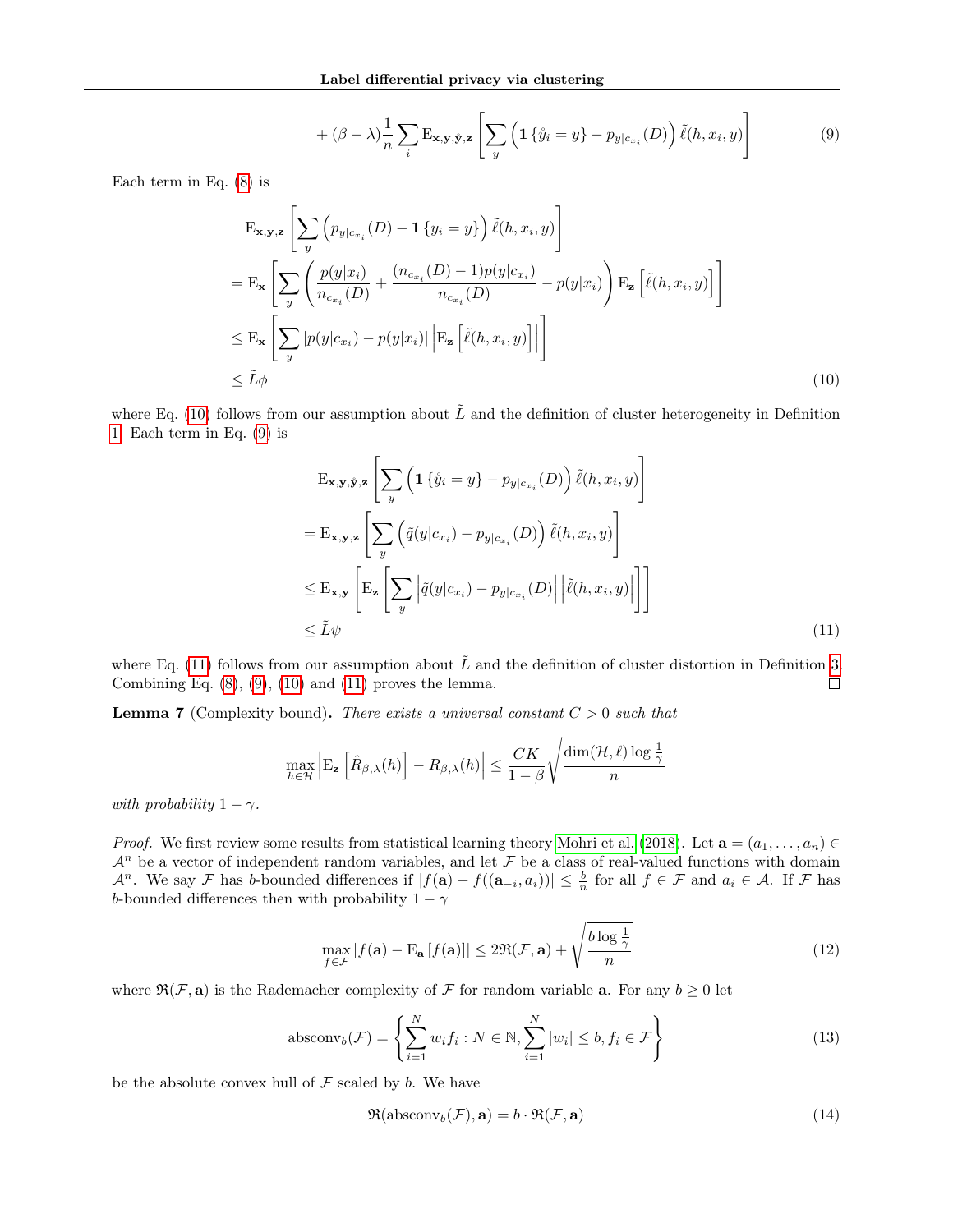<span id="page-15-1"></span>
$$
+ (\beta - \lambda) \frac{1}{n} \sum_{i} \mathbf{E}_{\mathbf{x}, \mathbf{y}, \hat{\mathbf{y}}, \mathbf{z}} \left[ \sum_{y} \left( \mathbf{1} \{ \mathring{y}_i = y \} - p_{y|c_{x_i}}(D) \right) \tilde{\ell}(h, x_i, y) \right]
$$
(9)

Each term in Eq. [\(8\)](#page-14-3) is

$$
\begin{split} &\mathbf{E}_{\mathbf{x},\mathbf{y},\mathbf{z}}\left[\sum_{y} \left(p_{y|c_{x_i}}(D)-\mathbf{1}\left\{y_i=y\right\}\right)\tilde{\ell}(h,x_i,y)\right] \\ &=\mathbf{E}_{\mathbf{x}}\left[\sum_{y} \left(\frac{p(y|x_i)}{n_{c_{x_i}}(D)}+\frac{(n_{c_{x_i}}(D)-1)p(y|c_{x_i})}{n_{c_{x_i}}(D)}-p(y|x_i)\right)\mathbf{E}_{\mathbf{z}}\left[\tilde{\ell}(h,x_i,y)\right]\right] \\ &\leq \mathbf{E}_{\mathbf{x}}\left[\sum_{y} |p(y|c_{x_i})-p(y|x_i)| \left|\mathbf{E}_{\mathbf{z}}\left[\tilde{\ell}(h,x_i,y)\right]\right|\right] \\ &\leq \tilde{L}\phi \end{split} \tag{10}
$$

where Eq. [\(10\)](#page-15-0) follows from our assumption about  $\tilde{L}$  and the definition of cluster heterogeneity in Definition [1.](#page-3-1) Each term in Eq. [\(9\)](#page-15-1) is

<span id="page-15-2"></span><span id="page-15-0"></span>
$$
\begin{split} &\mathbf{E}_{\mathbf{x},\mathbf{y},\mathbf{\hat{y}},\mathbf{z}} \left[ \sum_{y} \left( \mathbf{1} \left\{ \mathring{y}_{i} = y \right\} - p_{y|c_{x_{i}}}(D) \right) \tilde{\ell}(h,x_{i},y) \right] \\ &= \mathbf{E}_{\mathbf{x},\mathbf{y},\mathbf{z}} \left[ \sum_{y} \left( \tilde{q}(y|c_{x_{i}}) - p_{y|c_{x_{i}}}(D) \right) \tilde{\ell}(h,x_{i},y) \right] \\ &\leq \mathbf{E}_{\mathbf{x},\mathbf{y}} \left[ \mathbf{E}_{\mathbf{z}} \left[ \sum_{y} \left| \tilde{q}(y|c_{x_{i}}) - p_{y|c_{x_{i}}}(D) \right| \left| \tilde{\ell}(h,x_{i},y) \right| \right] \right] \\ &\leq \tilde{L}\psi \end{split} \tag{11}
$$

where Eq. [\(11\)](#page-15-2) follows from our assumption about  $\tilde{L}$  and the definition of cluster distortion in Definition [3.](#page-13-1) Combining Eq.  $(8)$ ,  $(9)$ ,  $(10)$  and  $(11)$  proves the lemma.  $\Box$ 

<span id="page-15-4"></span>**Lemma 7** (Complexity bound). There exists a universal constant  $C > 0$  such that

$$
\max_{h \in \mathcal{H}} \left| \mathrm{E}_{\mathbf{z}} \left[ \hat{R}_{\beta,\lambda}(h) \right] - R_{\beta,\lambda}(h) \right| \leq \frac{CK}{1-\beta} \sqrt{\frac{\dim(\mathcal{H}, \ell) \log \frac{1}{\gamma}}{n}}
$$

with probability  $1 - \gamma$ .

*Proof.* We first review some results from statistical learning theory [Mohri et al.](#page-9-8) [\(2018\)](#page-9-8). Let  $\mathbf{a} = (a_1, \ldots, a_n) \in$  $\mathcal{A}^n$  be a vector of independent random variables, and let  $\mathcal F$  be a class of real-valued functions with domain  $\mathcal{A}^n$ . We say  $\mathcal F$  has b-bounded differences if  $|f(\mathbf{a}) - f((\mathbf{a}_{-i}, a_i))| \leq \frac{b}{n}$  for all  $f \in \mathcal F$  and  $a_i \in \mathcal A$ . If  $\mathcal F$  has b-bounded differences then with probability  $1 - \gamma$ 

<span id="page-15-3"></span>
$$
\max_{f \in \mathcal{F}} |f(\mathbf{a}) - \mathbf{E}_{\mathbf{a}}[f(\mathbf{a})]| \le 2\Re(\mathcal{F}, \mathbf{a}) + \sqrt{\frac{b \log \frac{1}{\gamma}}{n}}
$$
(12)

where  $\mathfrak{R}(\mathcal{F}, \mathbf{a})$  is the Rademacher complexity of  $\mathcal F$  for random variable **a**. For any  $b \ge 0$  let

$$
\text{absconv}_b(\mathcal{F}) = \left\{ \sum_{i=1}^N w_i f_i : N \in \mathbb{N}, \sum_{i=1}^N |w_i| \le b, f_i \in \mathcal{F} \right\} \tag{13}
$$

be the absolute convex hull of  $\mathcal F$  scaled by b. We have

$$
\mathfrak{R}(\operatorname{absconv}_b(\mathcal{F}), \mathbf{a}) = b \cdot \mathfrak{R}(\mathcal{F}, \mathbf{a}) \tag{14}
$$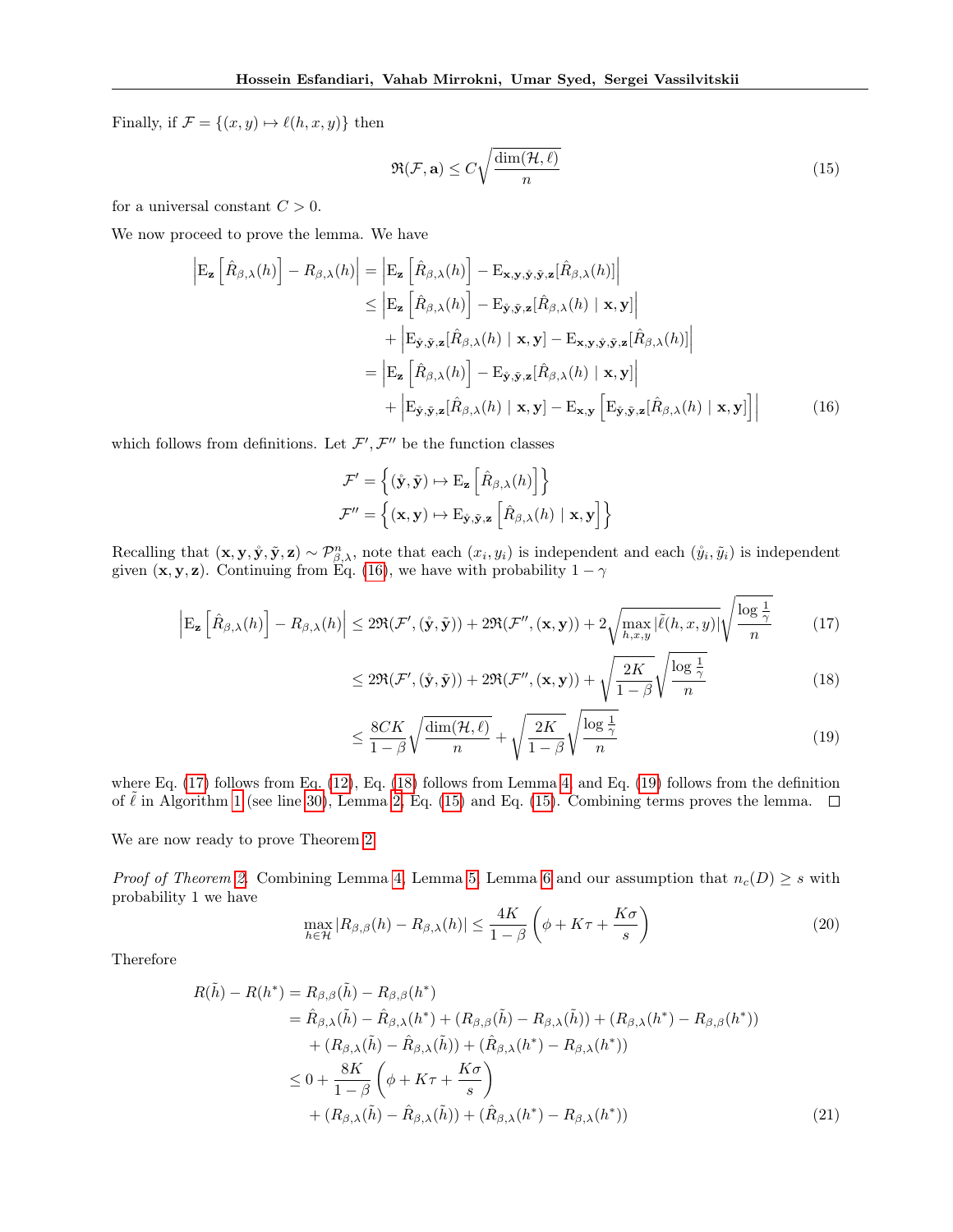Finally, if  $\mathcal{F} = \{(x, y) \mapsto \ell(h, x, y)\}\)$  then

<span id="page-16-4"></span>
$$
\Re(\mathcal{F}, \mathbf{a}) \le C \sqrt{\frac{\dim(\mathcal{H}, \ell)}{n}}\tag{15}
$$

for a universal constant  $C > 0$ .

We now proceed to prove the lemma. We have

$$
\begin{aligned}\n\left| \mathbf{E}_{\mathbf{z}} \left[ \hat{R}_{\beta,\lambda}(h) \right] - R_{\beta,\lambda}(h) \right| &= \left| \mathbf{E}_{\mathbf{z}} \left[ \hat{R}_{\beta,\lambda}(h) \right] - \mathbf{E}_{\mathbf{x},\mathbf{y},\tilde{\mathbf{y}},\tilde{\mathbf{z}}} [\hat{R}_{\beta,\lambda}(h)] \right| \\
&\leq \left| \mathbf{E}_{\mathbf{z}} \left[ \hat{R}_{\beta,\lambda}(h) \right] - \mathbf{E}_{\tilde{\mathbf{y}},\tilde{\mathbf{y}},\mathbf{z}} [\hat{R}_{\beta,\lambda}(h) \mid \mathbf{x}, \mathbf{y}] \right| \\
&\quad + \left| \mathbf{E}_{\tilde{\mathbf{y}},\tilde{\mathbf{y}},\mathbf{z}} [\hat{R}_{\beta,\lambda}(h) \mid \mathbf{x}, \mathbf{y}] - \mathbf{E}_{\mathbf{x},\mathbf{y},\tilde{\mathbf{y}},\tilde{\mathbf{y}},\mathbf{z}} [\hat{R}_{\beta,\lambda}(h)] \right| \\
&= \left| \mathbf{E}_{\mathbf{z}} \left[ \hat{R}_{\beta,\lambda}(h) \right] - \mathbf{E}_{\tilde{\mathbf{y}},\tilde{\mathbf{y}},\mathbf{z}} [\hat{R}_{\beta,\lambda}(h) \mid \mathbf{x}, \mathbf{y}] \right| \\
&\quad + \left| \mathbf{E}_{\tilde{\mathbf{y}},\tilde{\mathbf{y}},\mathbf{z}} [\hat{R}_{\beta,\lambda}(h) \mid \mathbf{x}, \mathbf{y}] - \mathbf{E}_{\mathbf{x},\mathbf{y}} \left[ \mathbf{E}_{\tilde{\mathbf{y}},\tilde{\mathbf{y}},\mathbf{z}} [\hat{R}_{\beta,\lambda}(h) \mid \mathbf{x}, \mathbf{y}] \right]\n\end{aligned} \tag{16}
$$

which follows from definitions. Let  $\mathcal{F}', \mathcal{F}''$  be the function classes

<span id="page-16-0"></span>
$$
\mathcal{F}' = \left\{ (\hat{\mathbf{y}}, \tilde{\mathbf{y}}) \mapsto \mathrm{E}_{\mathbf{z}} \left[ \hat{R}_{\beta, \lambda}(h) \right] \right\}
$$

$$
\mathcal{F}'' = \left\{ (\mathbf{x}, \mathbf{y}) \mapsto \mathrm{E}_{\hat{\mathbf{y}}, \tilde{\mathbf{y}}, \mathbf{z}} \left[ \hat{R}_{\beta, \lambda}(h) \mid \mathbf{x}, \mathbf{y} \right] \right\}
$$

Recalling that  $(\mathbf{x}, \mathbf{y}, \mathbf{\hat{y}}, \mathbf{\tilde{y}}, \mathbf{z}) \sim \mathcal{P}_{\beta,\lambda}^n$ , note that each  $(x_i, y_i)$  is independent and each  $(\mathbf{\hat{y}}_i, \mathbf{\tilde{y}}_i)$  is independent given  $(x, y, z)$ . Continuing from Eq. [\(16\)](#page-16-0), we have with probability  $1 - \gamma$ 

$$
\left| \mathbf{E}_{\mathbf{z}} \left[ \hat{R}_{\beta,\lambda}(h) \right] - R_{\beta,\lambda}(h) \right| \leq 2\Re(\mathcal{F}',(\mathbf{\hat{y}},\mathbf{\hat{y}})) + 2\Re(\mathcal{F}'',(\mathbf{x},\mathbf{y})) + 2\sqrt{\max_{h,x,y} |\tilde{\ell}(h,x,y)|} \sqrt{\frac{\log \frac{1}{\gamma}}{n}} \tag{17}
$$

<span id="page-16-2"></span><span id="page-16-1"></span>
$$
\leq 2\Re(\mathcal{F}',(\mathbf{\hat{y}},\mathbf{\tilde{y}})) + 2\Re(\mathcal{F}'',(\mathbf{x},\mathbf{y})) + \sqrt{\frac{2K}{1-\beta}}\sqrt{\frac{\log\frac{1}{\gamma}}{n}}\tag{18}
$$

<span id="page-16-3"></span>
$$
\leq \frac{8CK}{1-\beta} \sqrt{\frac{\dim(\mathcal{H}, \ell)}{n}} + \sqrt{\frac{2K}{1-\beta}} \sqrt{\frac{\log\frac{1}{\gamma}}{n}}
$$
(19)

where Eq. [\(17\)](#page-16-1) follows from Eq. [\(12\)](#page-15-3), Eq. [\(18\)](#page-16-2) follows from Lemma [4,](#page-13-2) and Eq. [\(19\)](#page-16-3) follows from the definition of  $\ell$  in Algorithm [1](#page-3-0) (see line [30\)](#page-3-0), Lemma [2,](#page-11-0) Eq. [\(15\)](#page-16-4) and Eq. (15). Combining terms proves the lemma.  $\Box$ 

We are now ready to prove Theorem [2.](#page-3-3)

*Proof of Theorem [2.](#page-3-3)* Combining Lemma [4,](#page-13-2) Lemma [5,](#page-13-3) Lemma [6](#page-14-4) and our assumption that  $n_c(D) \geq s$  with probability 1 we have

<span id="page-16-6"></span><span id="page-16-5"></span>
$$
\max_{h \in \mathcal{H}} |R_{\beta,\beta}(h) - R_{\beta,\lambda}(h)| \le \frac{4K}{1-\beta} \left(\phi + K\tau + \frac{K\sigma}{s}\right) \tag{20}
$$

Therefore

$$
R(\tilde{h}) - R(h^*) = R_{\beta,\beta}(\tilde{h}) - R_{\beta,\beta}(h^*)
$$
  
=  $\hat{R}_{\beta,\lambda}(\tilde{h}) - \hat{R}_{\beta,\lambda}(h^*) + (R_{\beta,\beta}(\tilde{h}) - R_{\beta,\lambda}(\tilde{h})) + (R_{\beta,\lambda}(h^*) - R_{\beta,\beta}(h^*))$   
+  $(R_{\beta,\lambda}(\tilde{h}) - \hat{R}_{\beta,\lambda}(\tilde{h})) + (\hat{R}_{\beta,\lambda}(h^*) - R_{\beta,\lambda}(h^*))$   
 $\leq 0 + \frac{8K}{1-\beta} \left( \phi + K\tau + \frac{K\sigma}{s} \right)$   
+  $(R_{\beta,\lambda}(\tilde{h}) - \hat{R}_{\beta,\lambda}(\tilde{h})) + (\hat{R}_{\beta,\lambda}(h^*) - R_{\beta,\lambda}(h^*))$  (21)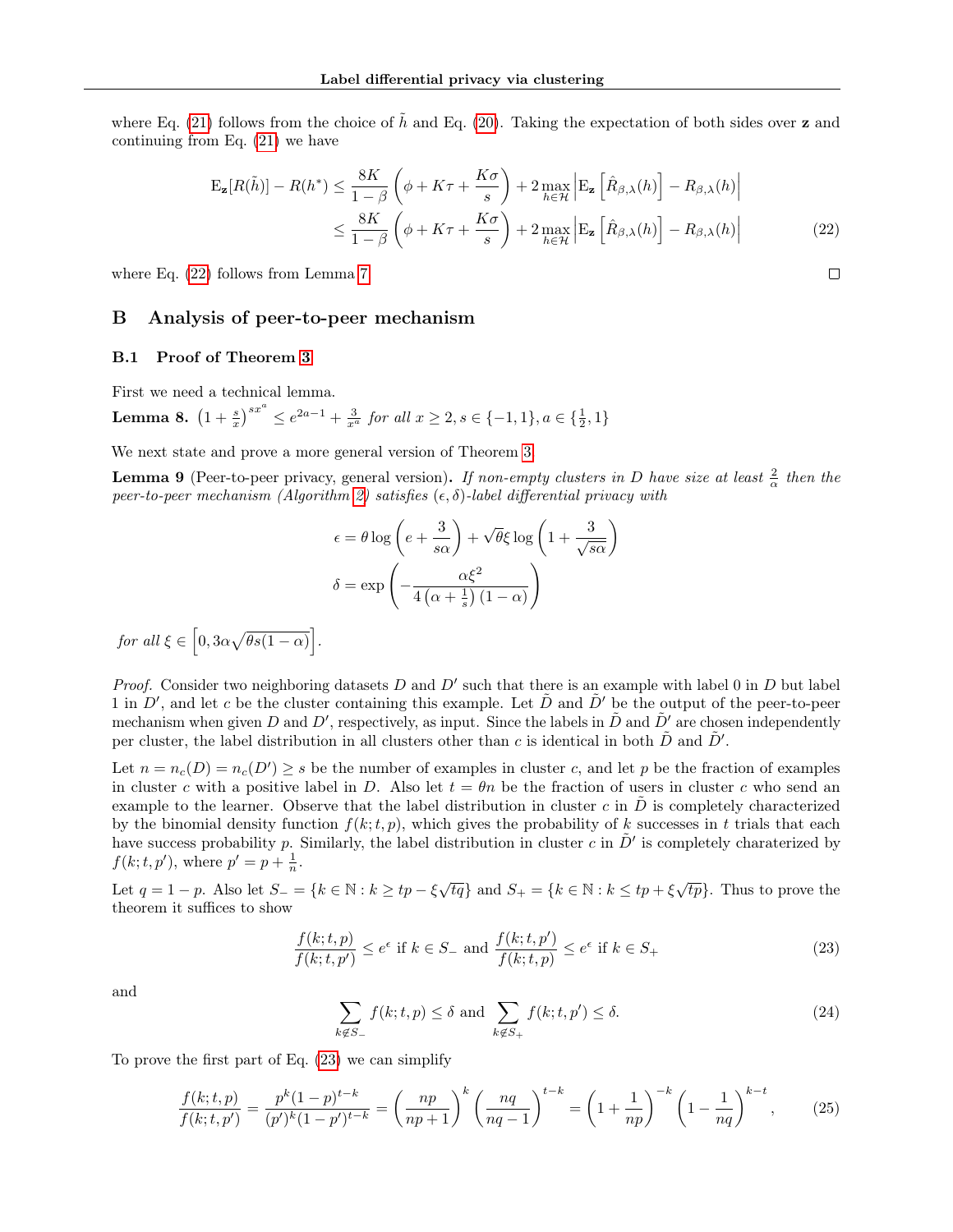where Eq. [\(21\)](#page-16-5) follows from the choice of  $\tilde{h}$  and Eq. [\(20\)](#page-16-6). Taking the expectation of both sides over z and continuing from Eq. [\(21\)](#page-16-5) we have

$$
\mathbf{E}_{\mathbf{z}}[R(\tilde{h})] - R(h^*) \le \frac{8K}{1-\beta} \left( \phi + K\tau + \frac{K\sigma}{s} \right) + 2 \max_{h \in \mathcal{H}} \left| \mathbf{E}_{\mathbf{z}} \left[ \hat{R}_{\beta,\lambda}(h) \right] - R_{\beta,\lambda}(h) \right|
$$
  

$$
\le \frac{8K}{1-\beta} \left( \phi + K\tau + \frac{K\sigma}{s} \right) + 2 \max_{h \in \mathcal{H}} \left| \mathbf{E}_{\mathbf{z}} \left[ \hat{R}_{\beta,\lambda}(h) \right] - R_{\beta,\lambda}(h) \right|
$$
(22)

<span id="page-17-0"></span> $\Box$ 

where Eq. [\(22\)](#page-17-0) follows from Lemma [7.](#page-15-4)

#### B Analysis of peer-to-peer mechanism

### B.1 Proof of Theorem [3](#page-5-3)

First we need a technical lemma.

<span id="page-17-2"></span>**Lemma 8.**  $(1+\frac{s}{x})^{sx^a} \le e^{2a-1} + \frac{3}{x^a}$  for all  $x \ge 2, s \in \{-1,1\}, a \in \{\frac{1}{2},1\}$ 

We next state and prove a more general version of Theorem [3.](#page-5-3)

<span id="page-17-4"></span>**Lemma 9** (Peer-to-peer privacy, general version). If non-empty clusters in D have size at least  $\frac{2}{\alpha}$  then the peer-to-peer mechanism (Algorithm [2\)](#page-5-2) satisfies  $(\epsilon, \delta)$ -label differential privacy with

$$
\epsilon = \theta \log \left( e + \frac{3}{s\alpha} \right) + \sqrt{\theta} \xi \log \left( 1 + \frac{3}{\sqrt{s\alpha}} \right)
$$

$$
\delta = \exp \left( -\frac{\alpha \xi^2}{4 \left( \alpha + \frac{1}{s} \right) \left( 1 - \alpha \right)} \right)
$$

for all  $\xi \in [0, 3\alpha\sqrt{\theta s(1-\alpha)}].$ 

*Proof.* Consider two neighboring datasets  $D$  and  $D'$  such that there is an example with label 0 in  $D$  but label 1 in  $D'$ , and let c be the cluster containing this example. Let  $\tilde{D}$  and  $\tilde{D}'$  be the output of the peer-to-peer mechanism when given D and D', respectively, as input. Since the labels in  $\tilde{D}$  and  $\tilde{D}'$  are chosen independently per cluster, the label distribution in all clusters other than c is identical in both  $\tilde{D}$  and  $\tilde{D}'$ .

Let  $n = n_c(D) = n_c(D') \geq s$  be the number of examples in cluster c, and let p be the fraction of examples in cluster c with a positive label in D. Also let  $t = \theta n$  be the fraction of users in cluster c who send an example to the learner. Observe that the label distribution in cluster  $c$  in  $D$  is completely characterized by the binomial density function  $f(k; t, p)$ , which gives the probability of k successes in t trials that each have success probability p. Similarly, the label distribution in cluster c in  $\tilde{D}'$  is completely charaterized by  $f(k; t, p'),$  where  $p' = p + \frac{1}{n}$ .

Let  $q = 1 - p$ . Also let  $S = \{k \in \mathbb{N} : k \ge tp - \xi \sqrt{tq}\}$  and  $S_+ = \{k \in \mathbb{N} : k \le tp + \xi \sqrt{tp}\}$ . Thus to prove the theorem it suffices to show

<span id="page-17-1"></span>
$$
\frac{f(k;t,p)}{f(k;t,p')} \le e^{\epsilon} \text{ if } k \in S_{-} \text{ and } \frac{f(k;t,p')}{f(k;t,p)} \le e^{\epsilon} \text{ if } k \in S_{+}
$$
\n(23)

and

<span id="page-17-3"></span>
$$
\sum_{k \notin S_-} f(k; t, p) \le \delta \text{ and } \sum_{k \notin S_+} f(k; t, p') \le \delta. \tag{24}
$$

To prove the first part of Eq. [\(23\)](#page-17-1) we can simplify

$$
\frac{f(k;t,p)}{f(k;t,p')} = \frac{p^k(1-p)^{t-k}}{(p')^k(1-p')^{t-k}} = \left(\frac{np}{np+1}\right)^k \left(\frac{nq}{nq-1}\right)^{t-k} = \left(1 + \frac{1}{np}\right)^{-k} \left(1 - \frac{1}{nq}\right)^{k-t},\tag{25}
$$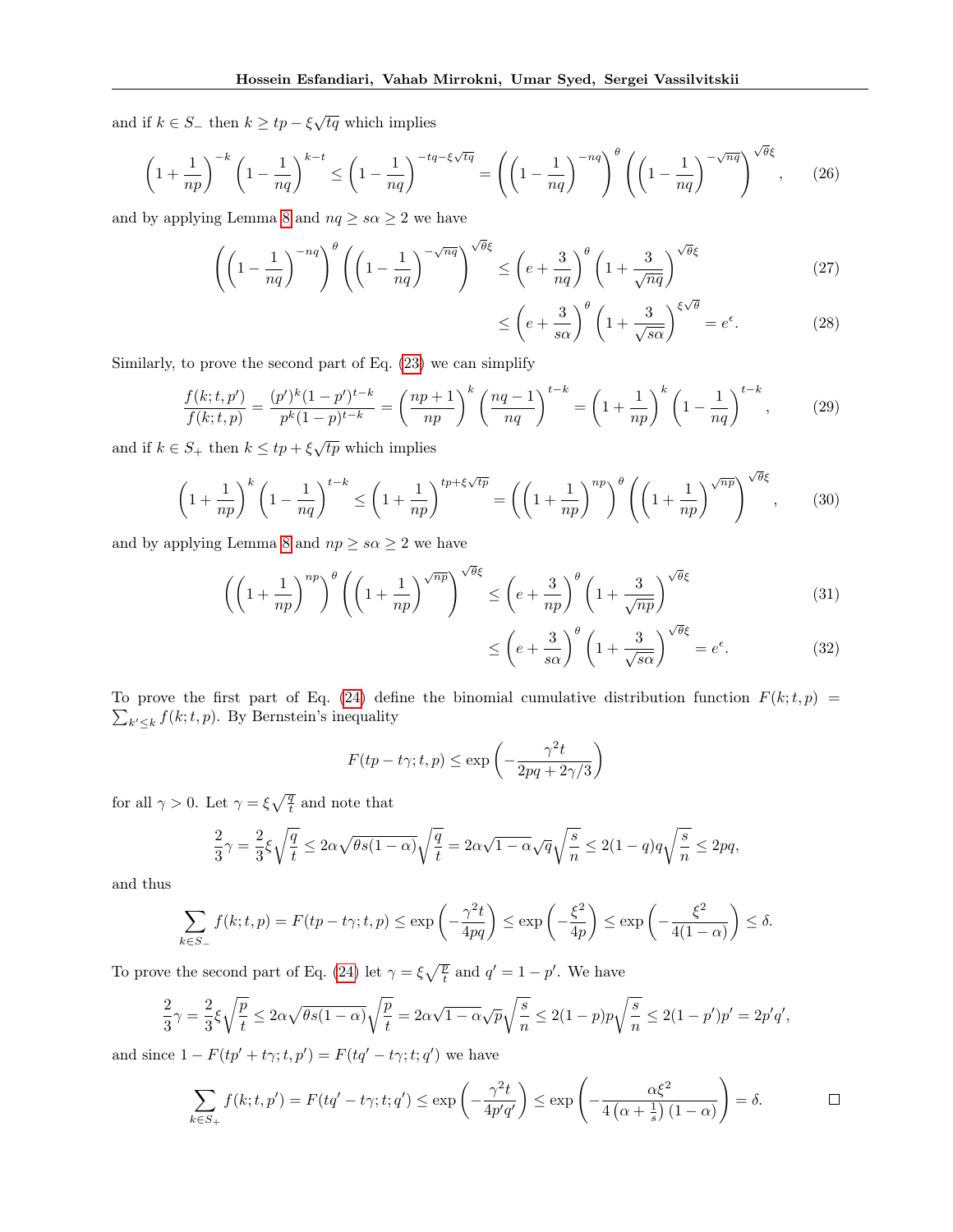and if  $k \in S_+$  then  $k \ge tp - \xi \sqrt{tq}$  which implies

$$
\left(1+\frac{1}{np}\right)^{-k} \left(1-\frac{1}{nq}\right)^{k-t} \le \left(1-\frac{1}{nq}\right)^{-tq-\xi\sqrt{tq}} = \left(\left(1-\frac{1}{nq}\right)^{-nq}\right)^{\theta} \left(\left(1-\frac{1}{nq}\right)^{-\sqrt{nq}}\right)^{\sqrt{\theta}\xi},\qquad(26)
$$

and by applying Lemma [8](#page-17-2) and  $nq \geq s\alpha \geq 2$  we have

$$
\left( \left( 1 - \frac{1}{nq} \right)^{-nq} \right)^{\theta} \left( \left( 1 - \frac{1}{nq} \right)^{-\sqrt{nq}} \right)^{\sqrt{\theta}\xi} \le \left( e + \frac{3}{nq} \right)^{\theta} \left( 1 + \frac{3}{\sqrt{nq}} \right)^{\sqrt{\theta}\xi} \tag{27}
$$

$$
\leq \left(e + \frac{3}{s\alpha}\right)^{\theta} \left(1 + \frac{3}{\sqrt{s\alpha}}\right)^{\xi\sqrt{\theta}} = e^{\epsilon}.\tag{28}
$$

Similarly, to prove the second part of Eq. [\(23\)](#page-17-1) we can simplify

$$
\frac{f(k;t,p')}{f(k;t,p)} = \frac{(p')^k (1-p')^{t-k}}{p^k (1-p)^{t-k}} = \left(\frac{np+1}{np}\right)^k \left(\frac{nq-1}{nq}\right)^{t-k} = \left(1 + \frac{1}{np}\right)^k \left(1 - \frac{1}{nq}\right)^{t-k},\tag{29}
$$

and if  $k \in S_+$  then  $k \leq tp + \xi \sqrt{tp}$  which implies

$$
\left(1+\frac{1}{np}\right)^k \left(1-\frac{1}{nq}\right)^{t-k} \le \left(1+\frac{1}{np}\right)^{tp+\xi\sqrt{tp}} = \left(\left(1+\frac{1}{np}\right)^{np}\right)^\theta \left(\left(1+\frac{1}{np}\right)^{\sqrt{np}}\right)^{\sqrt{\theta}\xi},\tag{30}
$$

and by applying Lemma [8](#page-17-2) and  $np \geq s\alpha \geq 2$  we have

$$
\left( \left( 1 + \frac{1}{np} \right)^{np} \right)^{\theta} \left( \left( 1 + \frac{1}{np} \right)^{\sqrt{np}} \right)^{\sqrt{\theta}\xi} \le \left( e + \frac{3}{np} \right)^{\theta} \left( 1 + \frac{3}{\sqrt{np}} \right)^{\sqrt{\theta}\xi} \tag{31}
$$

$$
\leq \left(e + \frac{3}{s\alpha}\right)^{\theta} \left(1 + \frac{3}{\sqrt{s\alpha}}\right)^{\sqrt{\theta\xi}} = e^{\epsilon}.\tag{32}
$$

To prove the first part of Eq. [\(24\)](#page-17-3) define the binomial cumulative distribution function  $F(k;t,p)$  $\sum_{k' \leq k} f(k; t, p)$ . By Bernstein's inequality

$$
F(tp - t\gamma; t, p) \le \exp\left(-\frac{\gamma^2 t}{2pq + 2\gamma/3}\right)
$$

for all  $\gamma > 0$ . Let  $\gamma = \xi \sqrt{\frac{q}{t}}$  and note that

$$
\frac{2}{3}\gamma=\frac{2}{3}\xi\sqrt{\frac{q}{t}}\leq 2\alpha\sqrt{\theta s(1-\alpha)}\sqrt{\frac{q}{t}}=2\alpha\sqrt{1-\alpha}\sqrt{q}\sqrt{\frac{s}{n}}\leq 2(1-q)q\sqrt{\frac{s}{n}}\leq 2pq,
$$

and thus

$$
\sum_{k \in S_-} f(k; t, p) = F(tp - t\gamma; t, p) \le \exp\left(-\frac{\gamma^2 t}{4pq}\right) \le \exp\left(-\frac{\xi^2}{4p}\right) \le \exp\left(-\frac{\xi^2}{4(1-\alpha)}\right) \le \delta.
$$

To prove the second part of Eq. [\(24\)](#page-17-3) let  $\gamma = \xi \sqrt{\frac{p}{t}}$  and  $q' = 1 - p'$ . We have

$$
\frac{2}{3}\gamma = \frac{2}{3}\xi\sqrt{\frac{p}{t}} \le 2\alpha\sqrt{\theta s(1-\alpha)}\sqrt{\frac{p}{t}} = 2\alpha\sqrt{1-\alpha}\sqrt{p}\sqrt{\frac{s}{n}} \le 2(1-p)p\sqrt{\frac{s}{n}} \le 2(1-p')p' = 2p'q',
$$

and since  $1 - F(tp' + t\gamma; t, p') = F(tq' - t\gamma; t; q')$  we have

$$
\sum_{k \in S_+} f(k; t, p') = F(tq' - t\gamma; t; q') \le \exp\left(-\frac{\gamma^2 t}{4p'q'}\right) \le \exp\left(-\frac{\alpha \xi^2}{4\left(\alpha + \frac{1}{s}\right)(1-\alpha)}\right) = \delta.
$$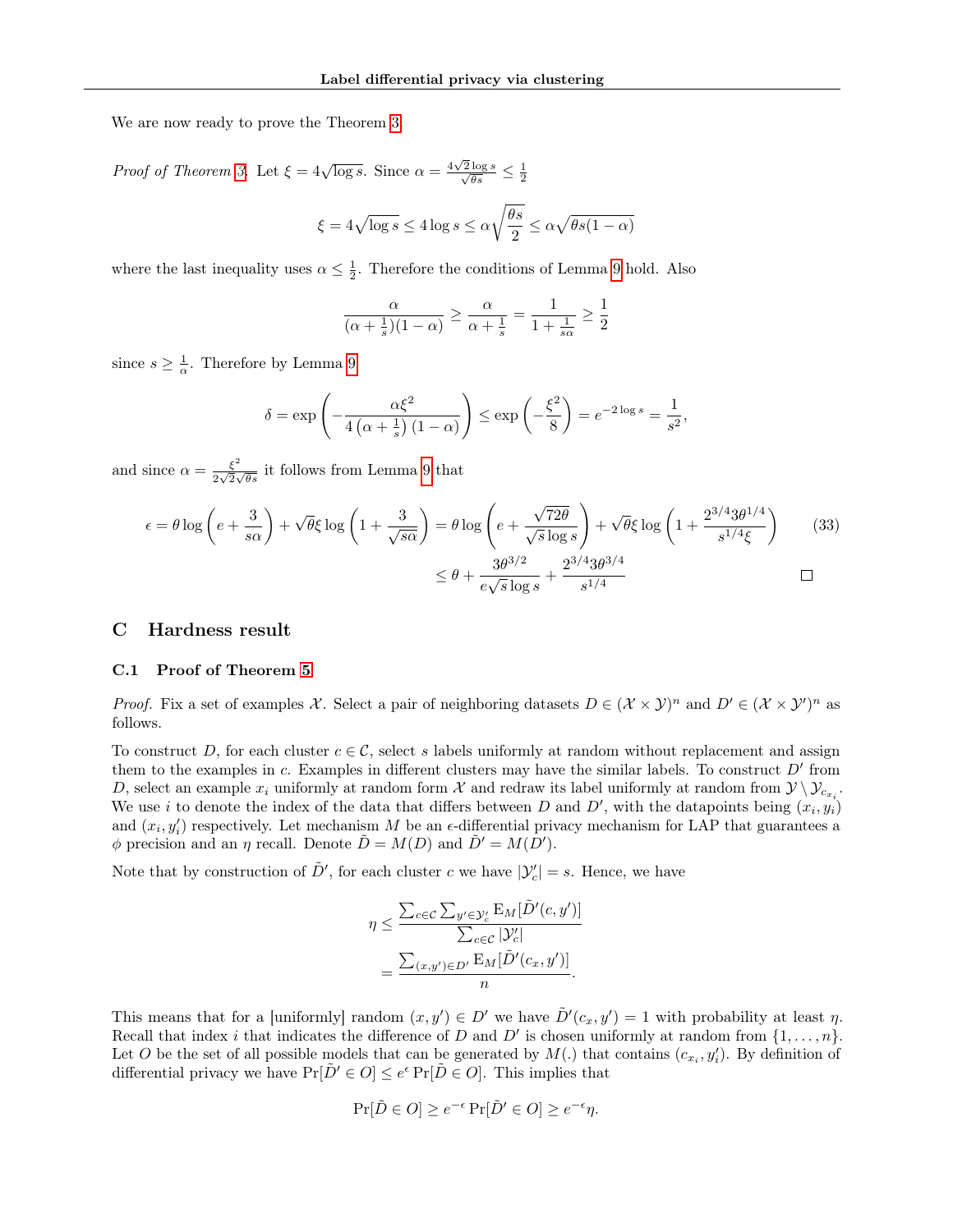We are now ready to prove the Theorem [3.](#page-5-3)

*Proof of Theorem [3.](#page-5-3)* Let  $\xi = 4\sqrt{\log s}$ . Since  $\alpha = \frac{4\sqrt{3}}{s}$  $\frac{\sqrt{2}\log s}{\sqrt{\theta s}} \leq \frac{1}{2}$ 

$$
\xi = 4\sqrt{\log s} \le 4\log s \le \alpha\sqrt{\frac{\theta s}{2}} \le \alpha\sqrt{\theta s(1-\alpha)}
$$

where the last inequality uses  $\alpha \leq \frac{1}{2}$ . Therefore the conditions of Lemma [9](#page-17-4) hold. Also

$$
\frac{\alpha}{(\alpha + \frac{1}{s})(1-\alpha)} \ge \frac{\alpha}{\alpha + \frac{1}{s}} = \frac{1}{1 + \frac{1}{s\alpha}} \ge \frac{1}{2}
$$

since  $s \geq \frac{1}{\alpha}$ . Therefore by Lemma [9](#page-17-4)

$$
\delta = \exp\left(-\frac{\alpha \xi^2}{4\left(\alpha + \frac{1}{s}\right)(1-\alpha)}\right) \le \exp\left(-\frac{\xi^2}{8}\right) = e^{-2\log s} = \frac{1}{s^2},
$$

and since  $\alpha = \frac{\xi^2}{\sqrt{2}}$  $\frac{\xi}{2\sqrt{2}\sqrt{\theta s}}$  it follows from Lemma [9](#page-17-4) that

$$
\epsilon = \theta \log \left( e + \frac{3}{s\alpha} \right) + \sqrt{\theta} \xi \log \left( 1 + \frac{3}{\sqrt{s\alpha}} \right) = \theta \log \left( e + \frac{\sqrt{72\theta}}{\sqrt{s} \log s} \right) + \sqrt{\theta} \xi \log \left( 1 + \frac{2^{3/4} 3\theta^{1/4}}{s^{1/4} \xi} \right) \tag{33}
$$
\n
$$
\leq \theta + \frac{3\theta^{3/2}}{e\sqrt{s} \log s} + \frac{2^{3/4} 3\theta^{3/4}}{s^{1/4}} \square
$$

### C Hardness result

#### C.1 Proof of Theorem [5](#page-7-1)

*Proof.* Fix a set of examples X. Select a pair of neighboring datasets  $D \in (\mathcal{X} \times \mathcal{Y})^n$  and  $D' \in (\mathcal{X} \times \mathcal{Y}')^n$  as follows.

To construct D, for each cluster  $c \in \mathcal{C}$ , select s labels uniformly at random without replacement and assign them to the examples in c. Examples in different clusters may have the similar labels. To construct  $D'$  from D, select an example  $x_i$  uniformly at random form X and redraw its label uniformly at random from  $\mathcal{Y} \setminus \mathcal{Y}_{c_{x_i}}$ . We use i to denote the index of the data that differs between D and D', with the datapoints being  $(x_i, y_i)$ and  $(x_i, y'_i)$  respectively. Let mechanism M be an  $\epsilon$ -differential privacy mechanism for LAP that guarantees a  $\phi$  precision and an  $\eta$  recall. Denote  $\tilde{D} = M(D)$  and  $\tilde{D}' = M(D')$ .

Note that by construction of  $\tilde{D}'$ , for each cluster c we have  $|\mathcal{Y}'_c| = s$ . Hence, we have

$$
\eta \leq \frac{\sum_{c \in \mathcal{C}} \sum_{y' \in \mathcal{Y}'_c} \mathrm{E}_M[\tilde{D}'(c, y')]}{\sum_{c \in \mathcal{C}} |\mathcal{Y}'_c|}
$$

$$
= \frac{\sum_{(x, y') \in D'} \mathrm{E}_M[\tilde{D}'(c_x, y')]}{n}.
$$

This means that for a [uniformly] random  $(x, y') \in D'$  we have  $\tilde{D}'(c_x, y') = 1$  with probability at least  $\eta$ . Recall that index i that indicates the difference of D and D' is chosen uniformly at random from  $\{1, \ldots, n\}$ . Let O be the set of all possible models that can be generated by  $M(.)$  that contains  $(c_{x_i}, y'_i)$ . By definition of differential privacy we have  $Pr[\tilde{D}' \in O] \leq e^{\epsilon} Pr[\tilde{D} \in O]$ . This implies that

$$
\Pr[\tilde{D} \in O] \ge e^{-\epsilon} \Pr[\tilde{D}' \in O] \ge e^{-\epsilon} \eta.
$$